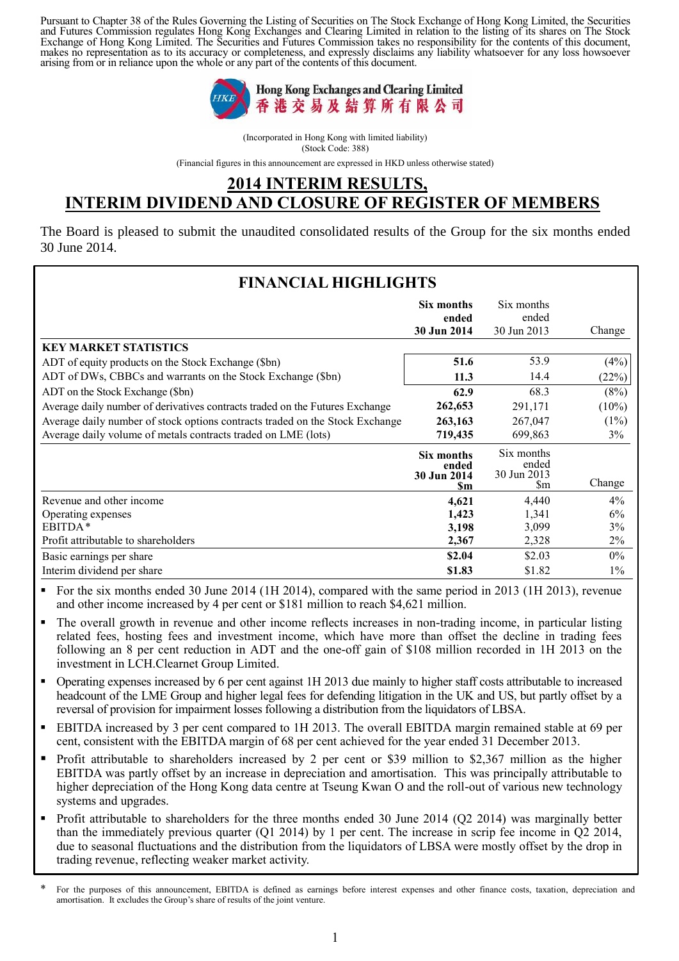Pursuant to Chapter 38 of the Rules Governing the Listing of Securities on The Stock Exchange of Hong Kong Limited, the Securities and Futures Commission regulates Hong Kong Exchanges and Clearing Limited in relation to the listing of its shares on The Stock Exchange of Hong Kong Limited. The Securities and Futures Commission takes no responsibility for the contents of this document, makes no representation as to its accuracy or completeness, and expressly disclaims any liability whatsoever for any loss howsoever arising from or in reliance upon the whole or any part of the contents of this document.



(Incorporated in Hong Kong with limited liability) (Stock Code: 388)

(Financial figures in this announcement are expressed in HKD unless otherwise stated)

## **2014 INTERIM RESULTS, INTERIM DIVIDEND AND CLOSURE OF REGISTER OF MEMBERS**

The Board is pleased to submit the unaudited consolidated results of the Group for the six months ended 30 June 2014.

| <b>FINANCIAL HIGHLIGHTS</b>                                                  |                                                 |                                          |          |
|------------------------------------------------------------------------------|-------------------------------------------------|------------------------------------------|----------|
|                                                                              | Six months<br>ended<br>30 Jun 2014              | Six months<br>ended<br>30 Jun 2013       | Change   |
| <b>KEY MARKET STATISTICS</b>                                                 |                                                 |                                          |          |
| ADT of equity products on the Stock Exchange (\$bn)                          | 51.6                                            | 53.9                                     | (4%)     |
| ADT of DWs, CBBCs and warrants on the Stock Exchange (\$bn)                  | 11.3                                            | 14.4                                     | (22%)    |
| ADT on the Stock Exchange (\$bn)                                             | 62.9                                            | 68.3                                     | (8%)     |
| Average daily number of derivatives contracts traded on the Futures Exchange | 262,653                                         | 291,171                                  | $(10\%)$ |
| Average daily number of stock options contracts traded on the Stock Exchange | 263,163                                         | 267,047                                  | $(1\%)$  |
| Average daily volume of metals contracts traded on LME (lots)                | 719,435                                         | 699,863                                  | 3%       |
|                                                                              | Six months<br>ended<br>30 Jun 2014<br><b>Sm</b> | Six months<br>ended<br>30 Jun 2013<br>Sm | Change   |
| Revenue and other income                                                     | 4,621                                           | 4,440                                    | 4%       |
| Operating expenses                                                           | 1,423                                           | 1,341                                    | 6%       |
| EBITDA*                                                                      | 3,198                                           | 3,099                                    | 3%       |
| Profit attributable to shareholders                                          | 2,367                                           | 2,328                                    | 2%       |
| Basic earnings per share                                                     | \$2.04                                          | \$2.03                                   | $0\%$    |
| Interim dividend per share                                                   | \$1.83                                          | \$1.82                                   | $1\%$    |

- For the six months ended 30 June 2014 (1H 2014), compared with the same period in 2013 (1H 2013), revenue and other income increased by 4 per cent or \$181 million to reach \$4,621 million.
- The overall growth in revenue and other income reflects increases in non-trading income, in particular listing related fees, hosting fees and investment income, which have more than offset the decline in trading fees following an 8 per cent reduction in ADT and the one-off gain of \$108 million recorded in 1H 2013 on the investment in LCH.Clearnet Group Limited.
- Operating expenses increased by 6 per cent against 1H 2013 due mainly to higher staff costs attributable to increased headcount of the LME Group and higher legal fees for defending litigation in the UK and US, but partly offset by a reversal of provision for impairment losses following a distribution from the liquidators of LBSA.
- EBITDA increased by 3 per cent compared to 1H 2013. The overall EBITDA margin remained stable at 69 per cent, consistent with the EBITDA margin of 68 per cent achieved for the year ended 31 December 2013.
- Profit attributable to shareholders increased by 2 per cent or \$39 million to \$2,367 million as the higher EBITDA was partly offset by an increase in depreciation and amortisation. This was principally attributable to higher depreciation of the Hong Kong data centre at Tseung Kwan O and the roll-out of various new technology systems and upgrades.
- Profit attributable to shareholders for the three months ended 30 June 2014 (Q2 2014) was marginally better than the immediately previous quarter (Q1 2014) by 1 per cent. The increase in scrip fee income in Q2 2014, due to seasonal fluctuations and the distribution from the liquidators of LBSA were mostly offset by the drop in trading revenue, reflecting weaker market activity.

<sup>\*</sup> For the purposes of this announcement, EBITDA is defined as earnings before interest expenses and other finance costs, taxation, depreciation and amortisation. It excludes the Group's share of results of the joint venture.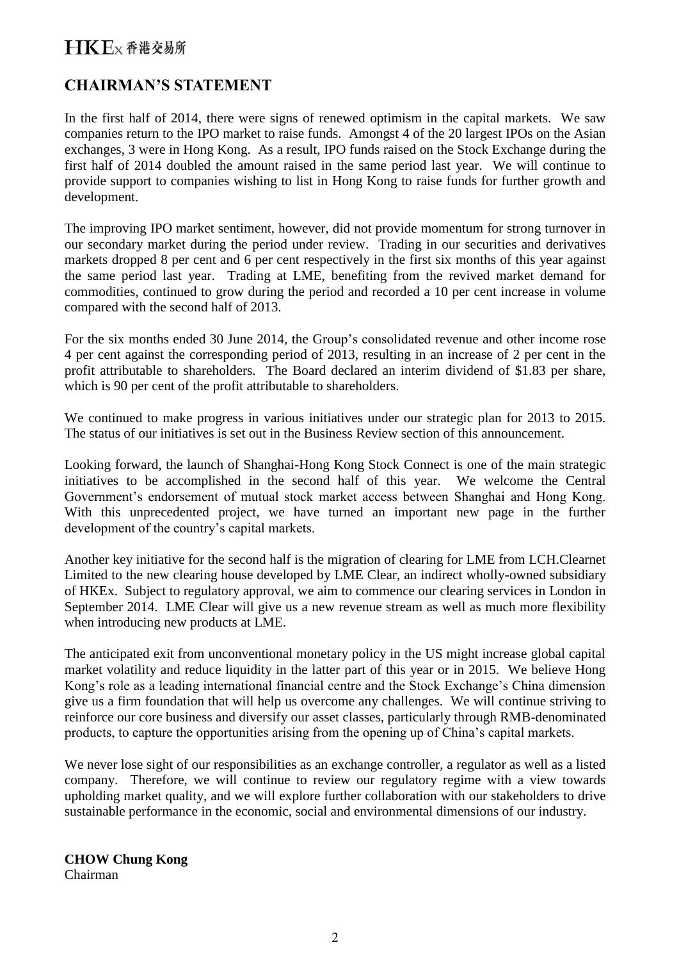## **CHAIRMAN'S STATEMENT**

In the first half of 2014, there were signs of renewed optimism in the capital markets. We saw companies return to the IPO market to raise funds. Amongst 4 of the 20 largest IPOs on the Asian exchanges, 3 were in Hong Kong. As a result, IPO funds raised on the Stock Exchange during the first half of 2014 doubled the amount raised in the same period last year. We will continue to provide support to companies wishing to list in Hong Kong to raise funds for further growth and development.

The improving IPO market sentiment, however, did not provide momentum for strong turnover in our secondary market during the period under review. Trading in our securities and derivatives markets dropped 8 per cent and 6 per cent respectively in the first six months of this year against the same period last year. Trading at LME, benefiting from the revived market demand for commodities, continued to grow during the period and recorded a 10 per cent increase in volume compared with the second half of 2013.

For the six months ended 30 June 2014, the Group's consolidated revenue and other income rose 4 per cent against the corresponding period of 2013, resulting in an increase of 2 per cent in the profit attributable to shareholders. The Board declared an interim dividend of \$1.83 per share, which is 90 per cent of the profit attributable to shareholders.

We continued to make progress in various initiatives under our strategic plan for 2013 to 2015. The status of our initiatives is set out in the Business Review section of this announcement.

Looking forward, the launch of Shanghai-Hong Kong Stock Connect is one of the main strategic initiatives to be accomplished in the second half of this year. We welcome the Central Government's endorsement of mutual stock market access between Shanghai and Hong Kong. With this unprecedented project, we have turned an important new page in the further development of the country's capital markets.

Another key initiative for the second half is the migration of clearing for LME from LCH.Clearnet Limited to the new clearing house developed by LME Clear, an indirect wholly-owned subsidiary of HKEx. Subject to regulatory approval, we aim to commence our clearing services in London in September 2014. LME Clear will give us a new revenue stream as well as much more flexibility when introducing new products at LME.

The anticipated exit from unconventional monetary policy in the US might increase global capital market volatility and reduce liquidity in the latter part of this year or in 2015. We believe Hong Kong's role as a leading international financial centre and the Stock Exchange's China dimension give us a firm foundation that will help us overcome any challenges. We will continue striving to reinforce our core business and diversify our asset classes, particularly through RMB-denominated products, to capture the opportunities arising from the opening up of China's capital markets.

We never lose sight of our responsibilities as an exchange controller, a regulator as well as a listed company. Therefore, we will continue to review our regulatory regime with a view towards upholding market quality, and we will explore further collaboration with our stakeholders to drive sustainable performance in the economic, social and environmental dimensions of our industry.

#### **CHOW Chung Kong** Chairman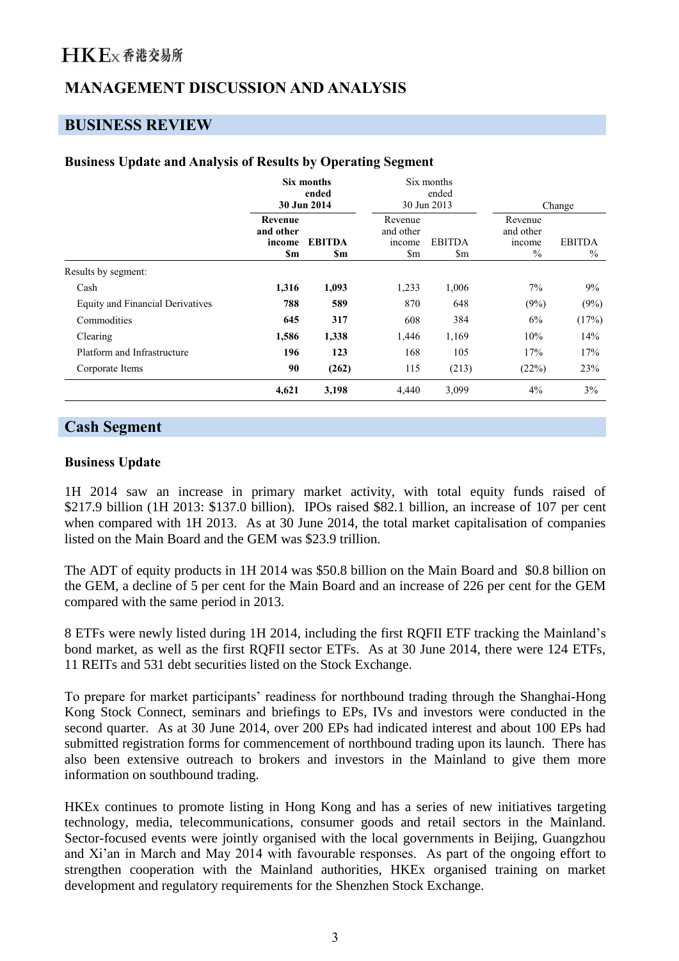## **MANAGEMENT DISCUSSION AND ANALYSIS**

### **BUSINESS REVIEW**

#### **Business Update and Analysis of Results by Operating Segment**

|                                         | Six months<br>ended<br>30 Jun 2014    |                      |                                       | Six months<br>ended<br>30 Jun 2013      | Change                                       |                       |
|-----------------------------------------|---------------------------------------|----------------------|---------------------------------------|-----------------------------------------|----------------------------------------------|-----------------------|
|                                         | Revenue<br>and other<br>income<br>\$m | <b>EBITDA</b><br>\$m | Revenue<br>and other<br>income<br>\$m | <b>EBITDA</b><br>$\mathop{\mathrm{Sm}}$ | Revenue<br>and other<br><i>ncome</i><br>$\%$ | <b>EBITDA</b><br>$\%$ |
| Results by segment:                     |                                       |                      |                                       |                                         |                                              |                       |
| Cash                                    | 1,316                                 | 1,093                | 1,233                                 | 1,006                                   | 7%                                           | 9%                    |
| <b>Equity and Financial Derivatives</b> | 788                                   | 589                  | 870                                   | 648                                     | (9%)                                         | (9%)                  |
| Commodities                             | 645                                   | 317                  | 608                                   | 384                                     | 6%                                           | (17%)                 |
| Clearing                                | 1,586                                 | 1,338                | 1,446                                 | 1,169                                   | 10%                                          | 14%                   |
| Platform and Infrastructure             | 196                                   | 123                  | 168                                   | 105                                     | 17%                                          | 17%                   |
| Corporate Items                         | 90                                    | (262)                | 115                                   | (213)                                   | (22%)                                        | 23%                   |
|                                         | 4,621                                 | 3,198                | 4,440                                 | 3,099                                   | 4%                                           | 3%                    |

### **Cash Segment**

#### **Business Update**

1H 2014 saw an increase in primary market activity, with total equity funds raised of \$217.9 billion (1H 2013: \$137.0 billion). IPOs raised \$82.1 billion, an increase of 107 per cent when compared with 1H 2013. As at 30 June 2014, the total market capitalisation of companies listed on the Main Board and the GEM was \$23.9 trillion.

The ADT of equity products in 1H 2014 was \$50.8 billion on the Main Board and \$0.8 billion on the GEM, a decline of 5 per cent for the Main Board and an increase of 226 per cent for the GEM compared with the same period in 2013.

8 ETFs were newly listed during 1H 2014, including the first RQFII ETF tracking the Mainland's bond market, as well as the first RQFII sector ETFs. As at 30 June 2014, there were 124 ETFs, 11 REITs and 531 debt securities listed on the Stock Exchange.

To prepare for market participants' readiness for northbound trading through the Shanghai-Hong Kong Stock Connect, seminars and briefings to EPs, IVs and investors were conducted in the second quarter. As at 30 June 2014, over 200 EPs had indicated interest and about 100 EPs had submitted registration forms for commencement of northbound trading upon its launch. There has also been extensive outreach to brokers and investors in the Mainland to give them more information on southbound trading.

HKEx continues to promote listing in Hong Kong and has a series of new initiatives targeting technology, media, telecommunications, consumer goods and retail sectors in the Mainland. Sector-focused events were jointly organised with the local governments in Beijing, Guangzhou and Xi'an in March and May 2014 with favourable responses. As part of the ongoing effort to strengthen cooperation with the Mainland authorities, HKEx organised training on market development and regulatory requirements for the Shenzhen Stock Exchange.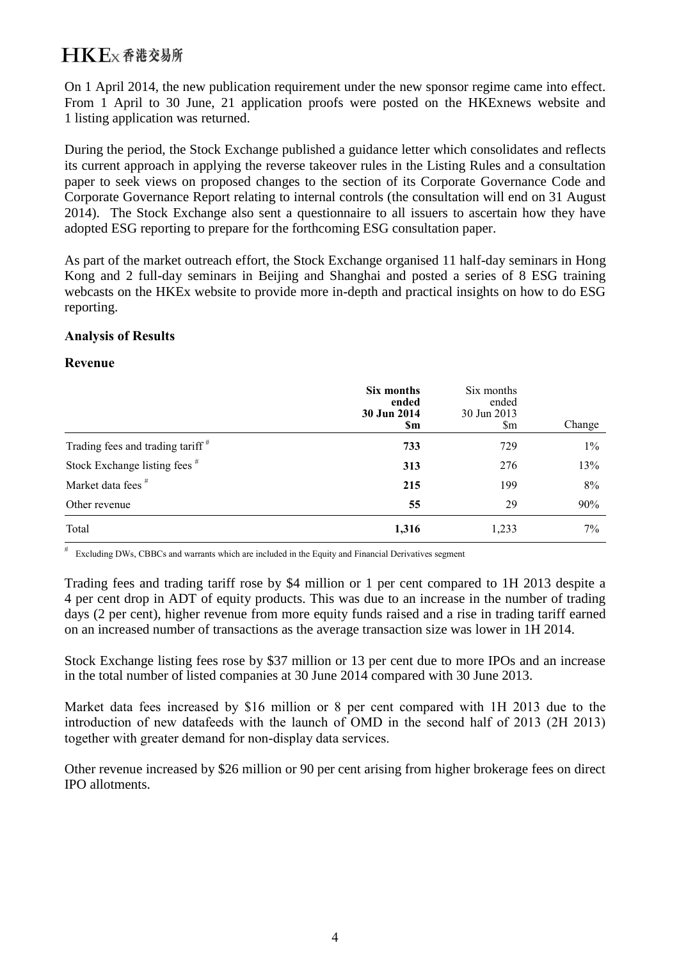On 1 April 2014, the new publication requirement under the new sponsor regime came into effect. From 1 April to 30 June, 21 application proofs were posted on the HKExnews website and 1 listing application was returned.

During the period, the Stock Exchange published a guidance letter which consolidates and reflects its current approach in applying the reverse takeover rules in the Listing Rules and a consultation paper to seek views on proposed changes to the section of its Corporate Governance Code and Corporate Governance Report relating to internal controls (the consultation will end on 31 August 2014). The Stock Exchange also sent a questionnaire to all issuers to ascertain how they have adopted ESG reporting to prepare for the forthcoming ESG consultation paper.

As part of the market outreach effort, the Stock Exchange organised 11 half-day seminars in Hong Kong and 2 full-day seminars in Beijing and Shanghai and posted a series of 8 ESG training webcasts on the HKEx website to provide more in-depth and practical insights on how to do ESG reporting.

#### **Analysis of Results**

#### **Revenue**

|                                              | Six months<br>ended<br>30 Jun 2014<br><b>Sm</b> | Six months<br>ended<br>30 Jun 2013<br>$\mathop{\rm Sm}\nolimits$ | Change |
|----------------------------------------------|-------------------------------------------------|------------------------------------------------------------------|--------|
| Trading fees and trading tariff <sup>#</sup> | 733                                             | 729                                                              | $1\%$  |
| Stock Exchange listing fees #                | 313                                             | 276                                                              | 13%    |
| Market data fees <sup>#</sup>                | 215                                             | 199                                                              | 8%     |
| Other revenue                                | 55                                              | 29                                                               | 90%    |
| Total                                        | 1,316                                           | 1,233                                                            | 7%     |

# Excluding DWs, CBBCs and warrants which are included in the Equity and Financial Derivatives segment

Trading fees and trading tariff rose by \$4 million or 1 per cent compared to 1H 2013 despite a 4 per cent drop in ADT of equity products. This was due to an increase in the number of trading days (2 per cent), higher revenue from more equity funds raised and a rise in trading tariff earned on an increased number of transactions as the average transaction size was lower in 1H 2014.

Stock Exchange listing fees rose by \$37 million or 13 per cent due to more IPOs and an increase in the total number of listed companies at 30 June 2014 compared with 30 June 2013.

Market data fees increased by \$16 million or 8 per cent compared with 1H 2013 due to the introduction of new datafeeds with the launch of OMD in the second half of 2013 (2H 2013) together with greater demand for non-display data services.

Other revenue increased by \$26 million or 90 per cent arising from higher brokerage fees on direct IPO allotments.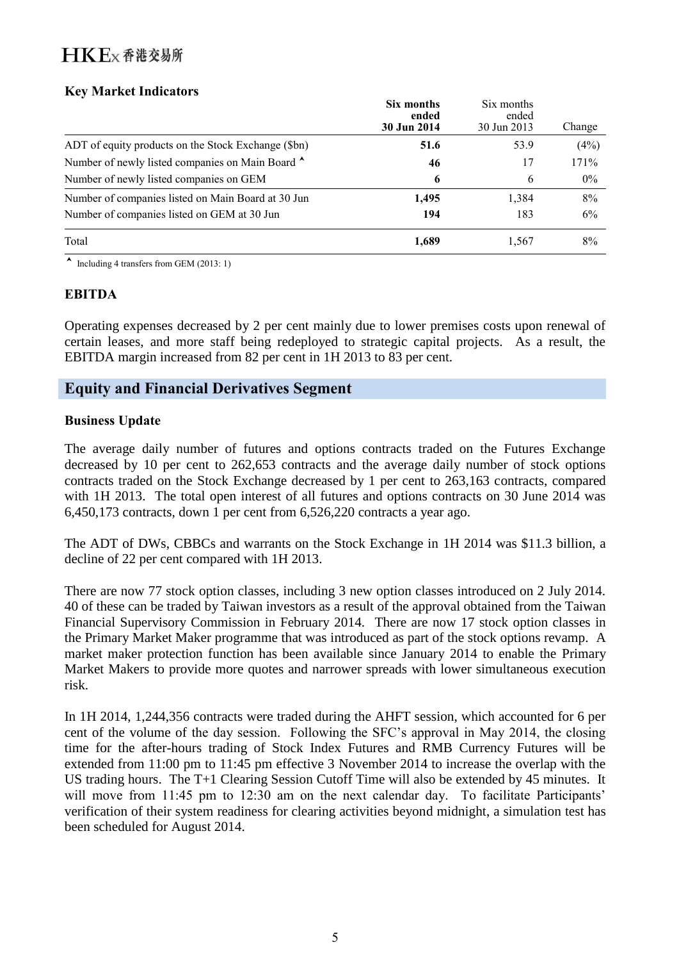### **Key Market Indicators**

|                                                     | Six months<br>ended<br>30 Jun 2014 | Six months<br>ended<br>30 Jun 2013 | Change |
|-----------------------------------------------------|------------------------------------|------------------------------------|--------|
| ADT of equity products on the Stock Exchange (\$bn) | 51.6                               | 53.9                               | (4%)   |
| Number of newly listed companies on Main Board ^    | 46                                 | 17                                 | 171%   |
| Number of newly listed companies on GEM             | 6                                  | 6                                  | 0%     |
| Number of companies listed on Main Board at 30 Jun  | 1,495                              | 1,384                              | 8%     |
| Number of companies listed on GEM at 30 Jun         | 194                                | 183                                | 6%     |
| Total                                               | 1,689                              | 1,567                              | 8%     |

 $\blacktriangle$  Including 4 transfers from GEM (2013: 1)

### **EBITDA**

Operating expenses decreased by 2 per cent mainly due to lower premises costs upon renewal of certain leases, and more staff being redeployed to strategic capital projects. As a result, the EBITDA margin increased from 82 per cent in 1H 2013 to 83 per cent.

### **Equity and Financial Derivatives Segment**

#### **Business Update**

The average daily number of futures and options contracts traded on the Futures Exchange decreased by 10 per cent to 262,653 contracts and the average daily number of stock options contracts traded on the Stock Exchange decreased by 1 per cent to 263,163 contracts, compared with 1H 2013. The total open interest of all futures and options contracts on 30 June 2014 was 6,450,173 contracts, down 1 per cent from 6,526,220 contracts a year ago.

The ADT of DWs, CBBCs and warrants on the Stock Exchange in 1H 2014 was \$11.3 billion, a decline of 22 per cent compared with 1H 2013.

There are now 77 stock option classes, including 3 new option classes introduced on 2 July 2014. 40 of these can be traded by Taiwan investors as a result of the approval obtained from the Taiwan Financial Supervisory Commission in February 2014. There are now 17 stock option classes in the Primary Market Maker programme that was introduced as part of the stock options revamp. A market maker protection function has been available since January 2014 to enable the Primary Market Makers to provide more quotes and narrower spreads with lower simultaneous execution risk.

In 1H 2014, 1,244,356 contracts were traded during the AHFT session, which accounted for 6 per cent of the volume of the day session. Following the SFC's approval in May 2014, the closing time for the after-hours trading of Stock Index Futures and RMB Currency Futures will be extended from 11:00 pm to 11:45 pm effective 3 November 2014 to increase the overlap with the US trading hours. The T+1 Clearing Session Cutoff Time will also be extended by 45 minutes. It will move from 11:45 pm to 12:30 am on the next calendar day. To facilitate Participants' verification of their system readiness for clearing activities beyond midnight, a simulation test has been scheduled for August 2014.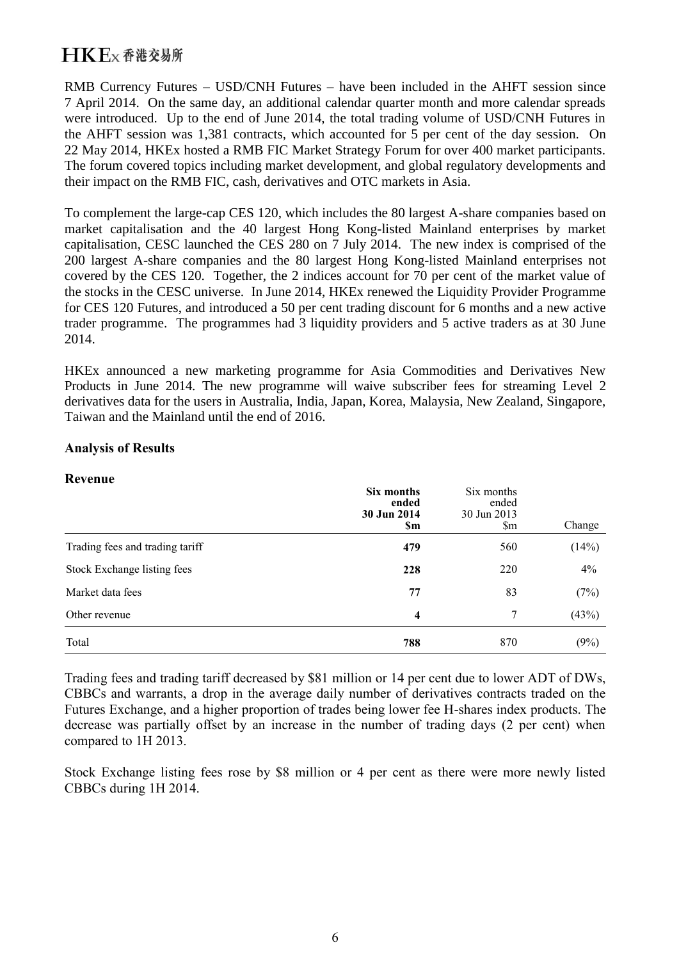RMB Currency Futures – USD/CNH Futures – have been included in the AHFT session since 7 April 2014. On the same day, an additional calendar quarter month and more calendar spreads were introduced. Up to the end of June 2014, the total trading volume of USD/CNH Futures in the AHFT session was 1,381 contracts, which accounted for 5 per cent of the day session. On 22 May 2014, HKEx hosted a RMB FIC Market Strategy Forum for over 400 market participants. The forum covered topics including market development, and global regulatory developments and their impact on the RMB FIC, cash, derivatives and OTC markets in Asia.

To complement the large-cap CES 120, which includes the 80 largest A-share companies based on market capitalisation and the 40 largest Hong Kong-listed Mainland enterprises by market capitalisation, CESC launched the CES 280 on 7 July 2014. The new index is comprised of the 200 largest A-share companies and the 80 largest Hong Kong-listed Mainland enterprises not covered by the CES 120. Together, the 2 indices account for 70 per cent of the market value of the stocks in the CESC universe. In June 2014, HKEx renewed the Liquidity Provider Programme for CES 120 Futures, and introduced a 50 per cent trading discount for 6 months and a new active trader programme. The programmes had 3 liquidity providers and 5 active traders as at 30 June 2014.

HKEx announced a new marketing programme for Asia Commodities and Derivatives New Products in June 2014. The new programme will waive subscriber fees for streaming Level 2 derivatives data for the users in Australia, India, Japan, Korea, Malaysia, New Zealand, Singapore, Taiwan and the Mainland until the end of 2016.

#### **Analysis of Results**

#### **Revenue**

|                                 | Six months<br>ended<br>30 Jun 2014<br>\$m | Six months<br>ended<br>30 Jun 2013<br>$\mathbb{S}_{m}$ | Change |
|---------------------------------|-------------------------------------------|--------------------------------------------------------|--------|
| Trading fees and trading tariff | 479                                       | 560                                                    | (14%)  |
| Stock Exchange listing fees     | 228                                       | 220                                                    | 4%     |
| Market data fees                | 77                                        | 83                                                     | (7%)   |
| Other revenue                   | 4                                         | 7                                                      | (43%)  |
| Total                           | 788                                       | 870                                                    | (9%)   |

Trading fees and trading tariff decreased by \$81 million or 14 per cent due to lower ADT of DWs, CBBCs and warrants, a drop in the average daily number of derivatives contracts traded on the Futures Exchange, and a higher proportion of trades being lower fee H-shares index products. The decrease was partially offset by an increase in the number of trading days (2 per cent) when compared to 1H 2013.

Stock Exchange listing fees rose by \$8 million or 4 per cent as there were more newly listed CBBCs during 1H 2014.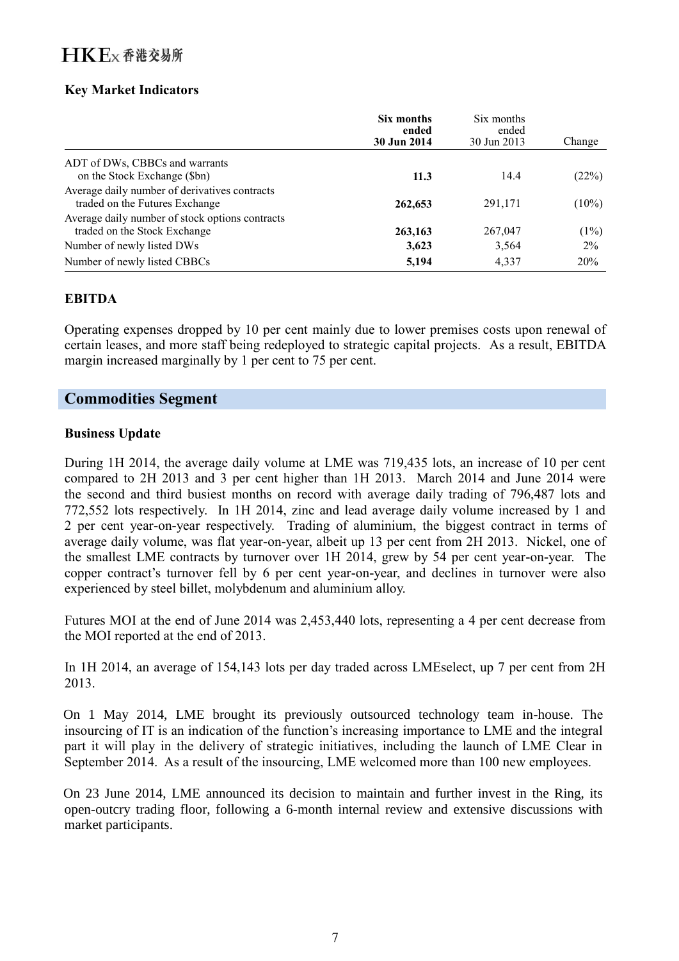### **Key Market Indicators**

|                                                 | Six months<br>ended<br>30 Jun 2014 | Six months<br>ended<br>30 Jun 2013 | Change   |
|-------------------------------------------------|------------------------------------|------------------------------------|----------|
| ADT of DWs, CBBCs and warrants                  |                                    |                                    |          |
| on the Stock Exchange (\$bn)                    | 11.3                               | 14.4                               | (22%)    |
| Average daily number of derivatives contracts   |                                    |                                    |          |
| traded on the Futures Exchange                  | 262,653                            | 291,171                            | $(10\%)$ |
| Average daily number of stock options contracts |                                    |                                    |          |
| traded on the Stock Exchange                    | 263,163                            | 267,047                            | (1%)     |
| Number of newly listed DWs                      | 3,623                              | 3,564                              | $2\%$    |
| Number of newly listed CBBCs                    | 5,194                              | 4,337                              | 20%      |

### **EBITDA**

Operating expenses dropped by 10 per cent mainly due to lower premises costs upon renewal of certain leases, and more staff being redeployed to strategic capital projects. As a result, EBITDA margin increased marginally by 1 per cent to 75 per cent.

### **Commodities Segment**

#### **Business Update**

During 1H 2014, the average daily volume at LME was 719,435 lots, an increase of 10 per cent compared to 2H 2013 and 3 per cent higher than 1H 2013. March 2014 and June 2014 were the second and third busiest months on record with average daily trading of 796,487 lots and 772,552 lots respectively. In 1H 2014, zinc and lead average daily volume increased by 1 and 2 per cent year-on-year respectively. Trading of aluminium, the biggest contract in terms of average daily volume, was flat year-on-year, albeit up 13 per cent from 2H 2013. Nickel, one of the smallest LME contracts by turnover over 1H 2014, grew by 54 per cent year-on-year. The copper contract's turnover fell by 6 per cent year-on-year, and declines in turnover were also experienced by steel billet, molybdenum and aluminium alloy.

Futures MOI at the end of June 2014 was 2,453,440 lots, representing a 4 per cent decrease from the MOI reported at the end of 2013.

In 1H 2014, an average of 154,143 lots per day traded across LMEselect, up 7 per cent from 2H 2013.

On 1 May 2014, LME brought its previously outsourced technology team in-house. The insourcing of IT is an indication of the function's increasing importance to LME and the integral part it will play in the delivery of strategic initiatives, including the launch of LME Clear in September 2014. As a result of the insourcing, LME welcomed more than 100 new employees.

On 23 June 2014, LME announced its decision to maintain and further invest in the Ring, its open-outcry trading floor, following a 6-month internal review and extensive discussions with market participants.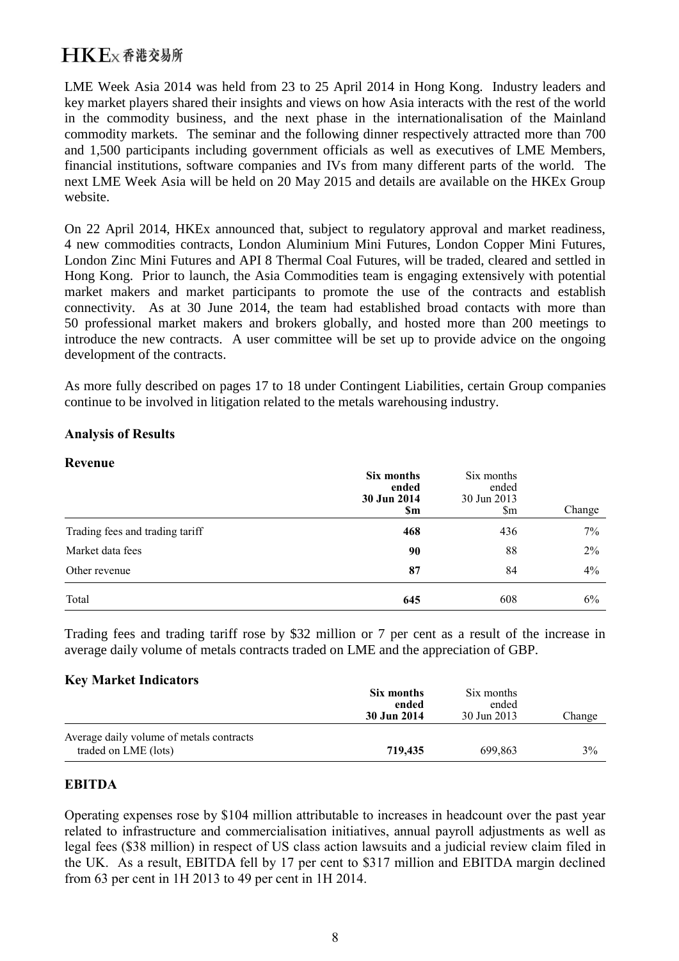LME Week Asia 2014 was held from 23 to 25 April 2014 in Hong Kong. Industry leaders and key market players shared their insights and views on how Asia interacts with the rest of the world in the commodity business, and the next phase in the internationalisation of the Mainland commodity markets. The seminar and the following dinner respectively attracted more than 700 and 1,500 participants including government officials as well as executives of LME Members, financial institutions, software companies and IVs from many different parts of the world. The next LME Week Asia will be held on 20 May 2015 and details are available on the HKEx Group website.

On 22 April 2014, HKEx announced that, subject to regulatory approval and market readiness, 4 new commodities contracts, London Aluminium Mini Futures, London Copper Mini Futures, London Zinc Mini Futures and API 8 Thermal Coal Futures, will be traded, cleared and settled in Hong Kong. Prior to launch, the Asia Commodities team is engaging extensively with potential market makers and market participants to promote the use of the contracts and establish connectivity. As at 30 June 2014, the team had established broad contacts with more than 50 professional market makers and brokers globally, and hosted more than 200 meetings to introduce the new contracts. A user committee will be set up to provide advice on the ongoing development of the contracts.

As more fully described on pages 17 to 18 under Contingent Liabilities, certain Group companies continue to be involved in litigation related to the metals warehousing industry.

#### **Analysis of Results**

**Revenue**

| Revenue                         | Six months<br>ended<br>30 Jun 2014<br>\$m | Six months<br>ended<br>30 Jun 2013<br>\$m | Change |
|---------------------------------|-------------------------------------------|-------------------------------------------|--------|
| Trading fees and trading tariff | 468                                       | 436                                       | 7%     |
| Market data fees                | 90                                        | 88                                        | $2\%$  |
| Other revenue                   | 87                                        | 84                                        | 4%     |
| Total                           | 645                                       | 608                                       | 6%     |

Trading fees and trading tariff rose by \$32 million or 7 per cent as a result of the increase in average daily volume of metals contracts traded on LME and the appreciation of GBP.

#### **Key Market Indicators**

|                                                                  | Six months<br>ended<br>30 Jun 2014 | Six months<br>ended<br>30 Jun 2013 | Change |
|------------------------------------------------------------------|------------------------------------|------------------------------------|--------|
| Average daily volume of metals contracts<br>traded on LME (lots) | 719,435                            | 699.863                            | 3%     |

### **EBITDA**

Operating expenses rose by \$104 million attributable to increases in headcount over the past year related to infrastructure and commercialisation initiatives, annual payroll adjustments as well as legal fees (\$38 million) in respect of US class action lawsuits and a judicial review claim filed in the UK. As a result, EBITDA fell by 17 per cent to \$317 million and EBITDA margin declined from 63 per cent in 1H 2013 to 49 per cent in 1H 2014.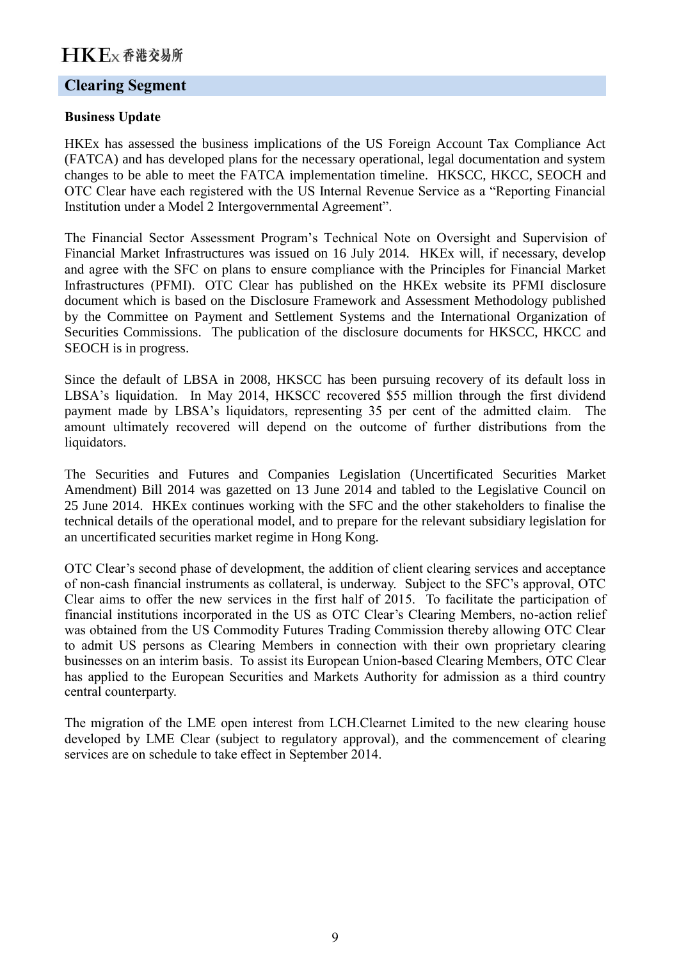### **Clearing Segment**

#### **Business Update**

HKEx has assessed the business implications of the US Foreign Account Tax Compliance Act (FATCA) and has developed plans for the necessary operational, legal documentation and system changes to be able to meet the FATCA implementation timeline. HKSCC, HKCC, SEOCH and OTC Clear have each registered with the US Internal Revenue Service as a "Reporting Financial Institution under a Model 2 Intergovernmental Agreement".

The Financial Sector Assessment Program's Technical Note on Oversight and Supervision of Financial Market Infrastructures was issued on 16 July 2014. HKEx will, if necessary, develop and agree with the SFC on plans to ensure compliance with the Principles for Financial Market Infrastructures (PFMI). OTC Clear has published on the HKEx website its PFMI disclosure document which is based on the Disclosure Framework and Assessment Methodology published by the Committee on Payment and Settlement Systems and the International Organization of Securities Commissions. The publication of the disclosure documents for HKSCC, HKCC and SEOCH is in progress.

Since the default of LBSA in 2008, HKSCC has been pursuing recovery of its default loss in LBSA's liquidation. In May 2014, HKSCC recovered \$55 million through the first dividend payment made by LBSA's liquidators, representing 35 per cent of the admitted claim. The amount ultimately recovered will depend on the outcome of further distributions from the liquidators.

The Securities and Futures and Companies Legislation (Uncertificated Securities Market Amendment) Bill 2014 was gazetted on 13 June 2014 and tabled to the Legislative Council on 25 June 2014. HKEx continues working with the SFC and the other stakeholders to finalise the technical details of the operational model, and to prepare for the relevant subsidiary legislation for an uncertificated securities market regime in Hong Kong.

OTC Clear's second phase of development, the addition of client clearing services and acceptance of non-cash financial instruments as collateral, is underway. Subject to the SFC's approval, OTC Clear aims to offer the new services in the first half of 2015. To facilitate the participation of financial institutions incorporated in the US as OTC Clear's Clearing Members, no-action relief was obtained from the US Commodity Futures Trading Commission thereby allowing OTC Clear to admit US persons as Clearing Members in connection with their own proprietary clearing businesses on an interim basis. To assist its European Union-based Clearing Members, OTC Clear has applied to the European Securities and Markets Authority for admission as a third country central counterparty.

The migration of the LME open interest from LCH.Clearnet Limited to the new clearing house developed by LME Clear (subject to regulatory approval), and the commencement of clearing services are on schedule to take effect in September 2014.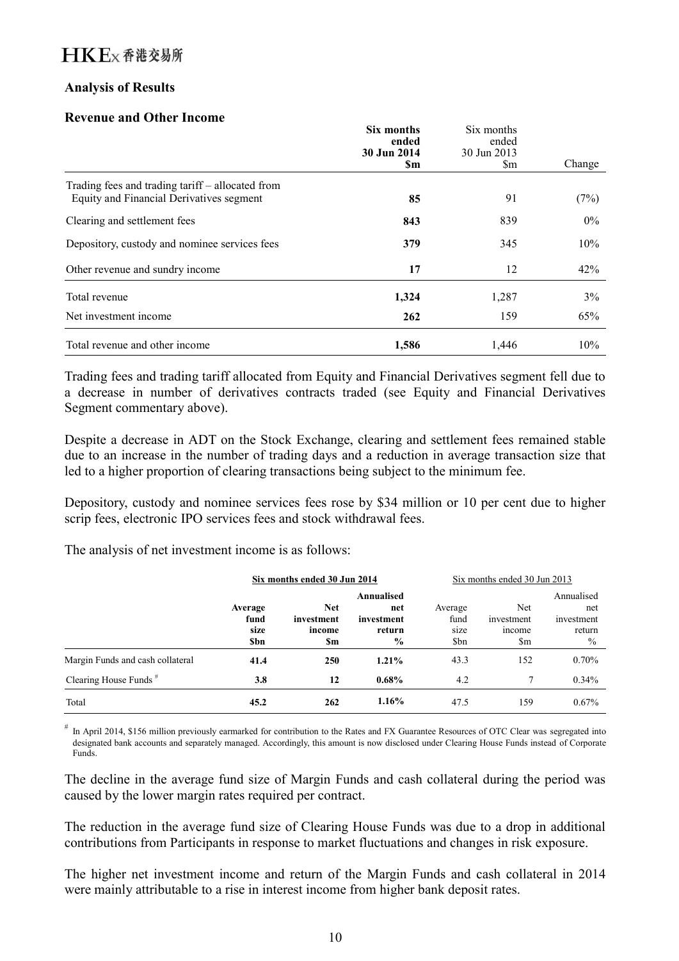### **Analysis of Results**

#### **Revenue and Other Income**

|                                                                                              | Six months<br>ended<br>30 Jun 2014<br><b>Sm</b> | Six months<br>ended<br>30 Jun 2013<br>\$m | Change |
|----------------------------------------------------------------------------------------------|-------------------------------------------------|-------------------------------------------|--------|
| Trading fees and trading tariff – allocated from<br>Equity and Financial Derivatives segment | 85                                              | 91                                        | (7%)   |
| Clearing and settlement fees                                                                 | 843                                             | 839                                       | $0\%$  |
| Depository, custody and nominee services fees                                                | 379                                             | 345                                       | 10%    |
| Other revenue and sundry income                                                              | 17                                              | 12                                        | 42%    |
| Total revenue                                                                                | 1,324                                           | 1,287                                     | 3%     |
| Net investment income                                                                        | 262                                             | 159                                       | 65%    |
| Total revenue and other income                                                               | 1,586                                           | 1,446                                     | 10%    |

Trading fees and trading tariff allocated from Equity and Financial Derivatives segment fell due to a decrease in number of derivatives contracts traded (see Equity and Financial Derivatives Segment commentary above).

Despite a decrease in ADT on the Stock Exchange, clearing and settlement fees remained stable due to an increase in the number of trading days and a reduction in average transaction size that led to a higher proportion of clearing transactions being subject to the minimum fee.

Depository, custody and nominee services fees rose by \$34 million or 10 per cent due to higher scrip fees, electronic IPO services fees and stock withdrawal fees.

The analysis of net investment income is as follows:

|                                  | Six months ended 30 Jun 2014          |                                           |                                                            |                                 | Six months ended 30 Jun 2013       |                                                   |
|----------------------------------|---------------------------------------|-------------------------------------------|------------------------------------------------------------|---------------------------------|------------------------------------|---------------------------------------------------|
|                                  | Average<br>fund<br>size<br><b>Sbn</b> | <b>Net</b><br>investment<br>income<br>\$m | Annualised<br>net<br>investment<br>return<br>$\frac{6}{9}$ | Average<br>fund<br>size<br>\$bn | Net<br>investment<br>income<br>\$m | Annualised<br>net<br>investment<br>return<br>$\%$ |
| Margin Funds and cash collateral | 41.4                                  | 250                                       | 1.21%                                                      | 43.3                            | 152                                | $0.70\%$                                          |
| Clearing House Funds $#$         | 3.8                                   | 12                                        | $0.68\%$                                                   | 4.2                             | 7                                  | $0.34\%$                                          |
| Total                            | 45.2                                  | 262                                       | 1.16%                                                      | 47.5                            | 159                                | 0.67%                                             |

# In April 2014, \$156 million previously earmarked for contribution to the Rates and FX Guarantee Resources of OTC Clear was segregated into designated bank accounts and separately managed. Accordingly, this amount is now disclosed under Clearing House Funds instead of Corporate Funds.

The decline in the average fund size of Margin Funds and cash collateral during the period was caused by the lower margin rates required per contract.

The reduction in the average fund size of Clearing House Funds was due to a drop in additional contributions from Participants in response to market fluctuations and changes in risk exposure.

The higher net investment income and return of the Margin Funds and cash collateral in 2014 were mainly attributable to a rise in interest income from higher bank deposit rates.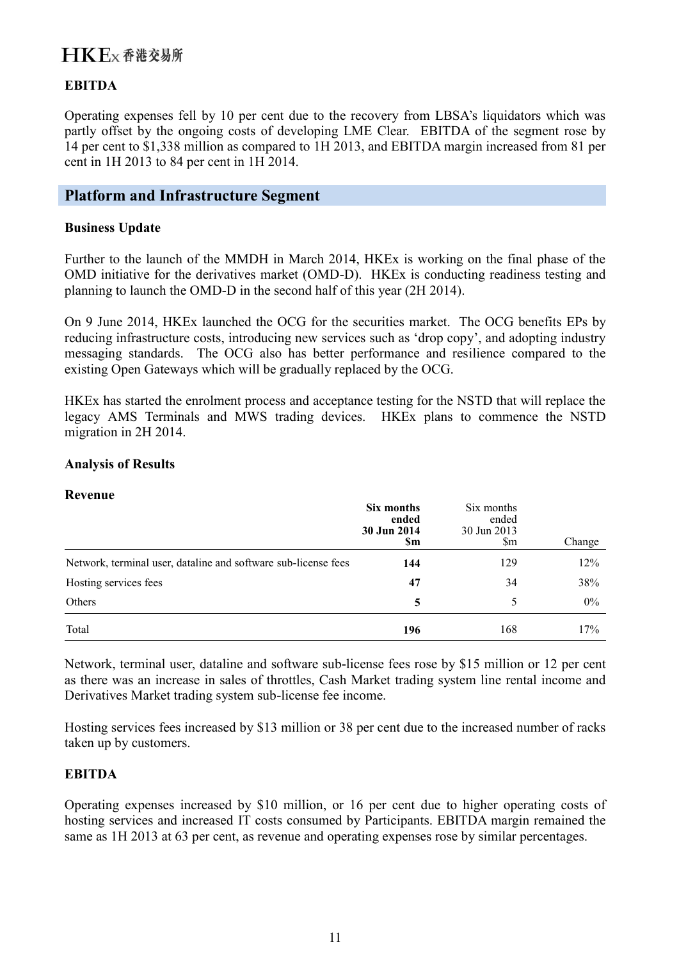### **EBITDA**

Operating expenses fell by 10 per cent due to the recovery from LBSA's liquidators which was partly offset by the ongoing costs of developing LME Clear. EBITDA of the segment rose by 14 per cent to \$1,338 million as compared to 1H 2013, and EBITDA margin increased from 81 per cent in 1H 2013 to 84 per cent in 1H 2014.

### **Platform and Infrastructure Segment**

#### **Business Update**

Further to the launch of the MMDH in March 2014, HKEx is working on the final phase of the OMD initiative for the derivatives market (OMD-D). HKEx is conducting readiness testing and planning to launch the OMD-D in the second half of this year (2H 2014).

On 9 June 2014, HKEx launched the OCG for the securities market. The OCG benefits EPs by reducing infrastructure costs, introducing new services such as 'drop copy', and adopting industry messaging standards. The OCG also has better performance and resilience compared to the existing Open Gateways which will be gradually replaced by the OCG.

HKEx has started the enrolment process and acceptance testing for the NSTD that will replace the legacy AMS Terminals and MWS trading devices. HKEx plans to commence the NSTD migration in 2H 2014.

#### **Analysis of Results**

#### **Revenue**

|                                                                | Six months<br>ended<br>30 Jun 2014<br>\$m | Six months<br>ended<br>30 Jun 2013<br>Sm | Change |
|----------------------------------------------------------------|-------------------------------------------|------------------------------------------|--------|
| Network, terminal user, dataline and software sub-license fees | 144                                       | 129                                      | 12%    |
| Hosting services fees                                          | 47                                        | 34                                       | 38%    |
| Others                                                         | 5                                         |                                          | $0\%$  |
| Total                                                          | 196                                       | 168                                      | 17%    |

Network, terminal user, dataline and software sub-license fees rose by \$15 million or 12 per cent as there was an increase in sales of throttles, Cash Market trading system line rental income and Derivatives Market trading system sub-license fee income.

Hosting services fees increased by \$13 million or 38 per cent due to the increased number of racks taken up by customers.

#### **EBITDA**

Operating expenses increased by \$10 million, or 16 per cent due to higher operating costs of hosting services and increased IT costs consumed by Participants. EBITDA margin remained the same as 1H 2013 at 63 per cent, as revenue and operating expenses rose by similar percentages.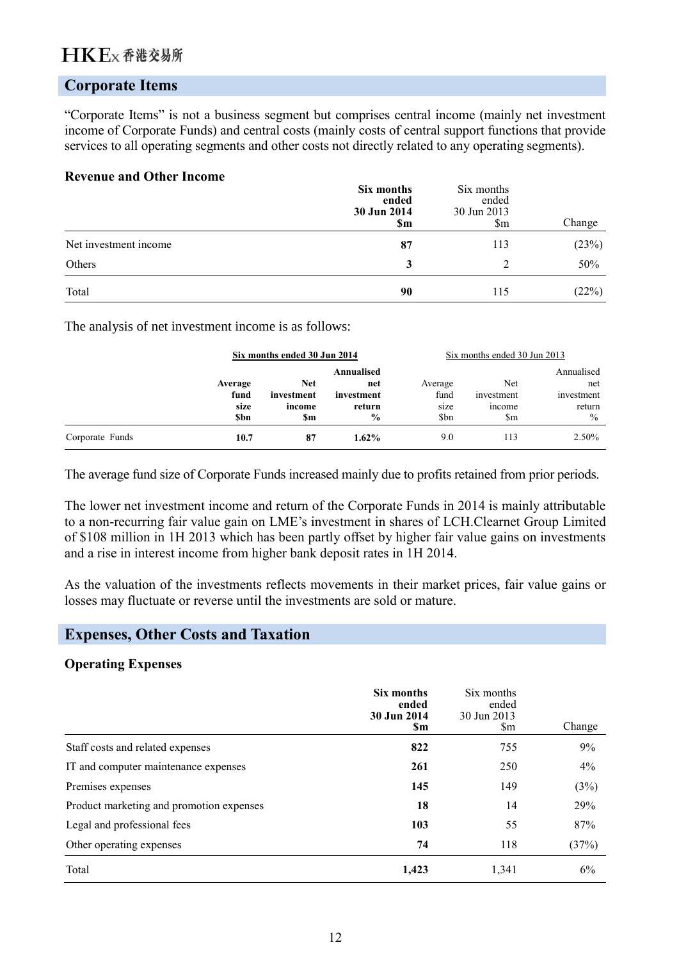### **Corporate Items**

"Corporate Items" is not a business segment but comprises central income (mainly net investment income of Corporate Funds) and central costs (mainly costs of central support functions that provide services to all operating segments and other costs not directly related to any operating segments).

#### **Revenue and Other Income**

|                       | Six months<br>ended<br>30 Jun 2014<br><b>Sm</b> | Six months<br>ended<br>30 Jun 2013<br>\$m | Change |
|-----------------------|-------------------------------------------------|-------------------------------------------|--------|
| Net investment income | 87                                              | 113                                       | (23%)  |
| Others                | 3                                               |                                           | 50%    |
| Total                 | 90                                              | 115                                       | (22%)  |

The analysis of net investment income is as follows:

|                 |                                       | Six months ended 30 Jun 2014       |                                                            |                                 | Six months ended 30 Jun 2013                          |                                                            |
|-----------------|---------------------------------------|------------------------------------|------------------------------------------------------------|---------------------------------|-------------------------------------------------------|------------------------------------------------------------|
|                 | Average<br>fund<br>size<br><b>Sbn</b> | Net<br>investment<br>income<br>\$m | Annualised<br>net<br>investment<br>return<br>$\frac{0}{0}$ | Average<br>fund<br>size<br>\$bn | Net<br>investment<br><i>n</i> come<br>$\mathbf{\S}$ m | Annualised<br>net<br>investment<br>return<br>$\frac{0}{0}$ |
| Corporate Funds | 10.7                                  | 87                                 | $1.62\%$                                                   | 9.0                             | 113                                                   | 2.50%                                                      |

The average fund size of Corporate Funds increased mainly due to profits retained from prior periods.

The lower net investment income and return of the Corporate Funds in 2014 is mainly attributable to a non-recurring fair value gain on LME's investment in shares of LCH.Clearnet Group Limited of \$108 million in 1H 2013 which has been partly offset by higher fair value gains on investments and a rise in interest income from higher bank deposit rates in 1H 2014.

As the valuation of the investments reflects movements in their market prices, fair value gains or losses may fluctuate or reverse until the investments are sold or mature.

### **Expenses, Other Costs and Taxation**

#### **Operating Expenses**

|                                          | Six months<br>ended<br>30 Jun 2014<br><b>Sm</b> | Six months<br>ended<br>30 Jun 2013<br><b>Sm</b> | Change |
|------------------------------------------|-------------------------------------------------|-------------------------------------------------|--------|
| Staff costs and related expenses         | 822                                             | 755                                             | 9%     |
| IT and computer maintenance expenses     | 261                                             | 250                                             | 4%     |
| Premises expenses                        | 145                                             | 149                                             | (3%)   |
| Product marketing and promotion expenses | 18                                              | 14                                              | 29%    |
| Legal and professional fees              | 103                                             | 55                                              | 87%    |
| Other operating expenses                 | 74                                              | 118                                             | (37%)  |
| Total                                    | 1,423                                           | 1,341                                           | 6%     |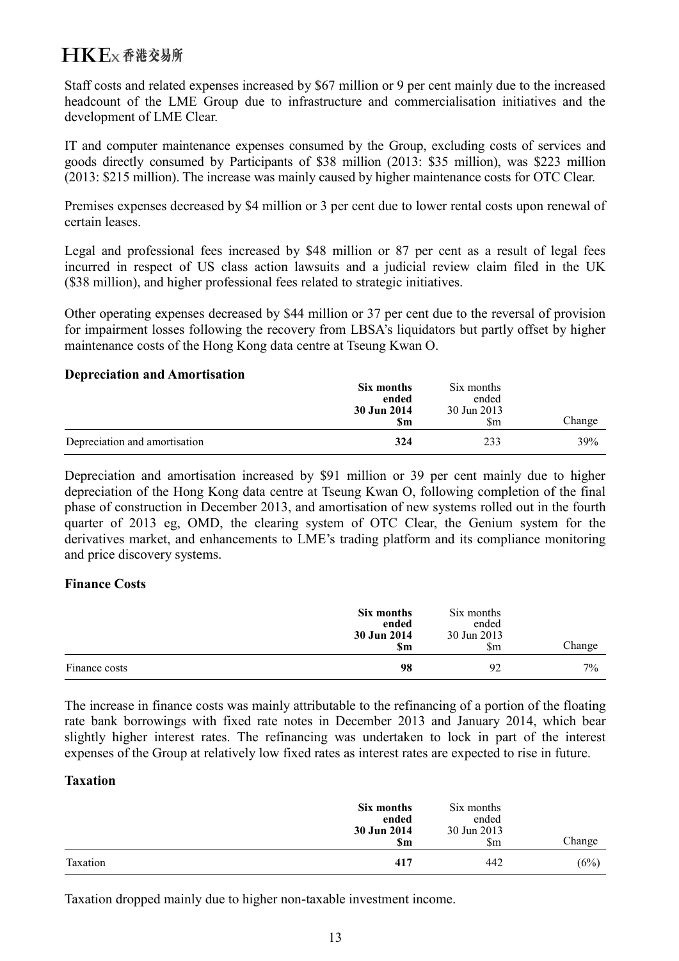Staff costs and related expenses increased by \$67 million or 9 per cent mainly due to the increased headcount of the LME Group due to infrastructure and commercialisation initiatives and the development of LME Clear.

IT and computer maintenance expenses consumed by the Group, excluding costs of services and goods directly consumed by Participants of \$38 million (2013: \$35 million), was \$223 million (2013: \$215 million). The increase was mainly caused by higher maintenance costs for OTC Clear.

Premises expenses decreased by \$4 million or 3 per cent due to lower rental costs upon renewal of certain leases.

Legal and professional fees increased by \$48 million or 87 per cent as a result of legal fees incurred in respect of US class action lawsuits and a judicial review claim filed in the UK (\$38 million), and higher professional fees related to strategic initiatives.

Other operating expenses decreased by \$44 million or 37 per cent due to the reversal of provision for impairment losses following the recovery from LBSA's liquidators but partly offset by higher maintenance costs of the Hong Kong data centre at Tseung Kwan O.

### **Depreciation and Amortisation**

|                               | Six months<br>ended<br>30 Jun 2014<br><b>Sm</b> | Six months<br>ended<br>30 Jun 2013<br>\$m | Change |
|-------------------------------|-------------------------------------------------|-------------------------------------------|--------|
| Depreciation and amortisation | 324                                             | 233                                       | 39%    |

Depreciation and amortisation increased by \$91 million or 39 per cent mainly due to higher depreciation of the Hong Kong data centre at Tseung Kwan O, following completion of the final phase of construction in December 2013, and amortisation of new systems rolled out in the fourth quarter of 2013 eg, OMD, the clearing system of OTC Clear, the Genium system for the derivatives market, and enhancements to LME's trading platform and its compliance monitoring and price discovery systems.

### **Finance Costs**

|               | Six months<br>ended<br>30 Jun 2014<br><b>Sm</b> | Six months<br>ended<br>30 Jun 2013<br>$\mathbb{S}_{m}$ | Change |
|---------------|-------------------------------------------------|--------------------------------------------------------|--------|
| Finance costs | 98                                              | 92                                                     | $7\%$  |

The increase in finance costs was mainly attributable to the refinancing of a portion of the floating rate bank borrowings with fixed rate notes in December 2013 and January 2014, which bear slightly higher interest rates. The refinancing was undertaken to lock in part of the interest expenses of the Group at relatively low fixed rates as interest rates are expected to rise in future.

### **Taxation**

|          | Six months<br>ended<br>30 Jun 2014<br><b>Sm</b> | Six months<br>ended<br>30 Jun 2013<br>\$m | Change |
|----------|-------------------------------------------------|-------------------------------------------|--------|
| Taxation | 417                                             | 442                                       | (6%)   |

Taxation dropped mainly due to higher non-taxable investment income.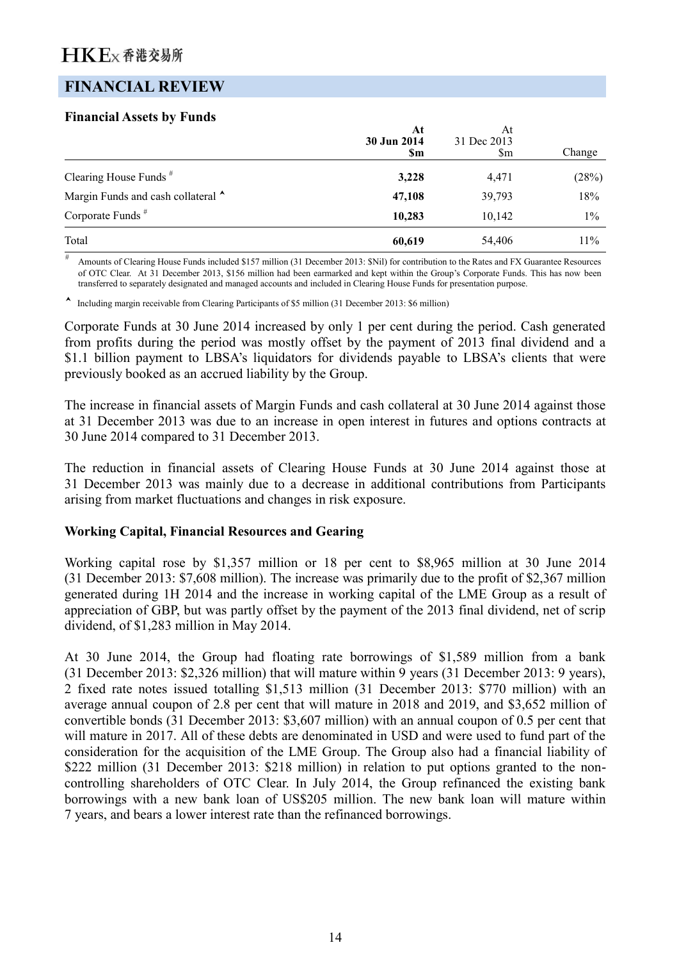### **FINANCIAL REVIEW**

#### **Financial Assets by Funds**

|                                    | At<br>30 Jun 2014<br>\$m | At<br>31 Dec 2013<br>$\mathop{\mathrm{Sm}}$ | Change |
|------------------------------------|--------------------------|---------------------------------------------|--------|
| Clearing House Funds <sup>#</sup>  | 3,228                    | 4,471                                       | (28%)  |
| Margin Funds and cash collateral ^ | 47,108                   | 39,793                                      | 18%    |
| Corporate Funds <sup>#</sup>       | 10,283                   | 10,142                                      | $1\%$  |
| Total                              | 60,619                   | 54,406                                      | 11%    |

# Amounts of Clearing House Funds included \$157 million (31 December 2013: \$Nil) for contribution to the Rates and FX Guarantee Resources of OTC Clear. At 31 December 2013, \$156 million had been earmarked and kept within the Group's Corporate Funds. This has now been transferred to separately designated and managed accounts and included in Clearing House Funds for presentation purpose.

Including margin receivable from Clearing Participants of \$5 million (31 December 2013: \$6 million)

Corporate Funds at 30 June 2014 increased by only 1 per cent during the period. Cash generated from profits during the period was mostly offset by the payment of 2013 final dividend and a \$1.1 billion payment to LBSA's liquidators for dividends payable to LBSA's clients that were previously booked as an accrued liability by the Group.

The increase in financial assets of Margin Funds and cash collateral at 30 June 2014 against those at 31 December 2013 was due to an increase in open interest in futures and options contracts at 30 June 2014 compared to 31 December 2013.

The reduction in financial assets of Clearing House Funds at 30 June 2014 against those at 31 December 2013 was mainly due to a decrease in additional contributions from Participants arising from market fluctuations and changes in risk exposure.

#### **Working Capital, Financial Resources and Gearing**

Working capital rose by \$1,357 million or 18 per cent to \$8,965 million at 30 June 2014 (31 December 2013: \$7,608 million). The increase was primarily due to the profit of \$2,367 million generated during 1H 2014 and the increase in working capital of the LME Group as a result of appreciation of GBP, but was partly offset by the payment of the 2013 final dividend, net of scrip dividend, of \$1,283 million in May 2014.

At 30 June 2014, the Group had floating rate borrowings of \$1,589 million from a bank (31 December 2013: \$2,326 million) that will mature within 9 years (31 December 2013: 9 years), 2 fixed rate notes issued totalling \$1,513 million (31 December 2013: \$770 million) with an average annual coupon of 2.8 per cent that will mature in 2018 and 2019, and \$3,652 million of convertible bonds (31 December 2013: \$3,607 million) with an annual coupon of 0.5 per cent that will mature in 2017. All of these debts are denominated in USD and were used to fund part of the consideration for the acquisition of the LME Group. The Group also had a financial liability of \$222 million (31 December 2013: \$218 million) in relation to put options granted to the noncontrolling shareholders of OTC Clear. In July 2014, the Group refinanced the existing bank borrowings with a new bank loan of US\$205 million. The new bank loan will mature within 7 years, and bears a lower interest rate than the refinanced borrowings.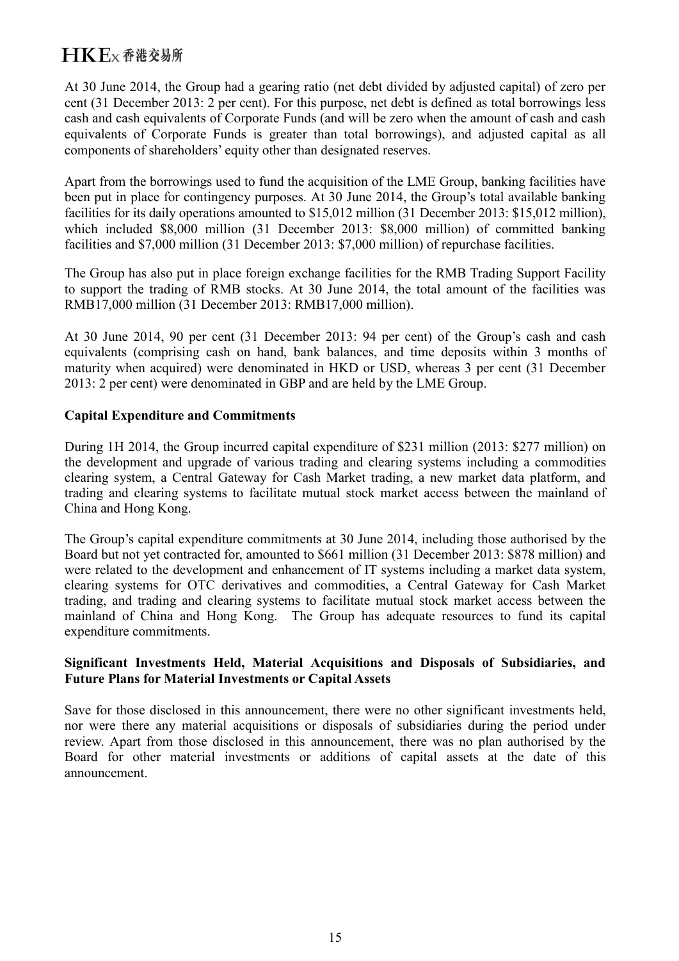At 30 June 2014, the Group had a gearing ratio (net debt divided by adjusted capital) of zero per cent (31 December 2013: 2 per cent). For this purpose, net debt is defined as total borrowings less cash and cash equivalents of Corporate Funds (and will be zero when the amount of cash and cash equivalents of Corporate Funds is greater than total borrowings), and adjusted capital as all components of shareholders' equity other than designated reserves.

Apart from the borrowings used to fund the acquisition of the LME Group, banking facilities have been put in place for contingency purposes. At 30 June 2014, the Group's total available banking facilities for its daily operations amounted to \$15,012 million (31 December 2013: \$15,012 million), which included \$8,000 million (31 December 2013: \$8,000 million) of committed banking facilities and \$7,000 million (31 December 2013: \$7,000 million) of repurchase facilities.

The Group has also put in place foreign exchange facilities for the RMB Trading Support Facility to support the trading of RMB stocks. At 30 June 2014, the total amount of the facilities was RMB17,000 million (31 December 2013: RMB17,000 million).

At 30 June 2014, 90 per cent (31 December 2013: 94 per cent) of the Group's cash and cash equivalents (comprising cash on hand, bank balances, and time deposits within 3 months of maturity when acquired) were denominated in HKD or USD, whereas 3 per cent (31 December 2013: 2 per cent) were denominated in GBP and are held by the LME Group.

### **Capital Expenditure and Commitments**

During 1H 2014, the Group incurred capital expenditure of \$231 million (2013: \$277 million) on the development and upgrade of various trading and clearing systems including a commodities clearing system, a Central Gateway for Cash Market trading, a new market data platform, and trading and clearing systems to facilitate mutual stock market access between the mainland of China and Hong Kong.

The Group's capital expenditure commitments at 30 June 2014, including those authorised by the Board but not yet contracted for, amounted to \$661 million (31 December 2013: \$878 million) and were related to the development and enhancement of IT systems including a market data system, clearing systems for OTC derivatives and commodities, a Central Gateway for Cash Market trading, and trading and clearing systems to facilitate mutual stock market access between the mainland of China and Hong Kong. The Group has adequate resources to fund its capital expenditure commitments.

#### **Significant Investments Held, Material Acquisitions and Disposals of Subsidiaries, and Future Plans for Material Investments or Capital Assets**

Save for those disclosed in this announcement, there were no other significant investments held, nor were there any material acquisitions or disposals of subsidiaries during the period under review. Apart from those disclosed in this announcement, there was no plan authorised by the Board for other material investments or additions of capital assets at the date of this announcement.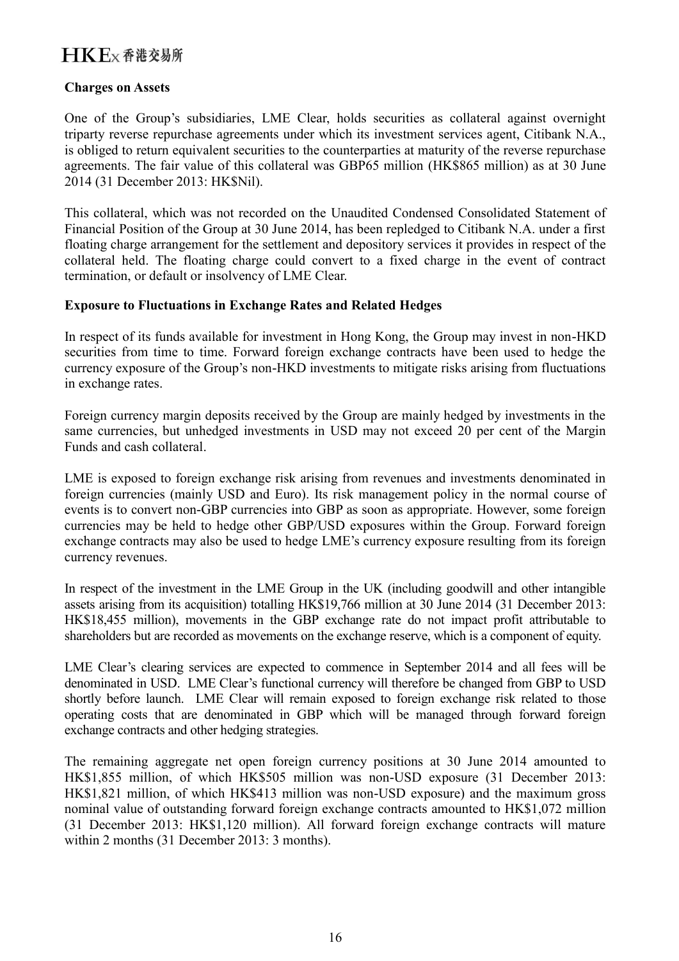#### **Charges on Assets**

One of the Group's subsidiaries, LME Clear, holds securities as collateral against overnight triparty reverse repurchase agreements under which its investment services agent, Citibank N.A., is obliged to return equivalent securities to the counterparties at maturity of the reverse repurchase agreements. The fair value of this collateral was GBP65 million (HK\$865 million) as at 30 June 2014 (31 December 2013: HK\$Nil).

This collateral, which was not recorded on the Unaudited Condensed Consolidated Statement of Financial Position of the Group at 30 June 2014, has been repledged to Citibank N.A. under a first floating charge arrangement for the settlement and depository services it provides in respect of the collateral held. The floating charge could convert to a fixed charge in the event of contract termination, or default or insolvency of LME Clear.

### **Exposure to Fluctuations in Exchange Rates and Related Hedges**

In respect of its funds available for investment in Hong Kong, the Group may invest in non-HKD securities from time to time. Forward foreign exchange contracts have been used to hedge the currency exposure of the Group's non-HKD investments to mitigate risks arising from fluctuations in exchange rates.

Foreign currency margin deposits received by the Group are mainly hedged by investments in the same currencies, but unhedged investments in USD may not exceed 20 per cent of the Margin Funds and cash collateral.

LME is exposed to foreign exchange risk arising from revenues and investments denominated in foreign currencies (mainly USD and Euro). Its risk management policy in the normal course of events is to convert non-GBP currencies into GBP as soon as appropriate. However, some foreign currencies may be held to hedge other GBP/USD exposures within the Group. Forward foreign exchange contracts may also be used to hedge LME's currency exposure resulting from its foreign currency revenues.

In respect of the investment in the LME Group in the UK (including goodwill and other intangible assets arising from its acquisition) totalling HK\$19,766 million at 30 June 2014 (31 December 2013: HK\$18,455 million), movements in the GBP exchange rate do not impact profit attributable to shareholders but are recorded as movements on the exchange reserve, which is a component of equity.

LME Clear's clearing services are expected to commence in September 2014 and all fees will be denominated in USD. LME Clear's functional currency will therefore be changed from GBP to USD shortly before launch. LME Clear will remain exposed to foreign exchange risk related to those operating costs that are denominated in GBP which will be managed through forward foreign exchange contracts and other hedging strategies.

The remaining aggregate net open foreign currency positions at 30 June 2014 amounted to HK\$1,855 million, of which HK\$505 million was non-USD exposure (31 December 2013: HK\$1,821 million, of which HK\$413 million was non-USD exposure) and the maximum gross nominal value of outstanding forward foreign exchange contracts amounted to HK\$1,072 million (31 December 2013: HK\$1,120 million). All forward foreign exchange contracts will mature within 2 months (31 December 2013: 3 months).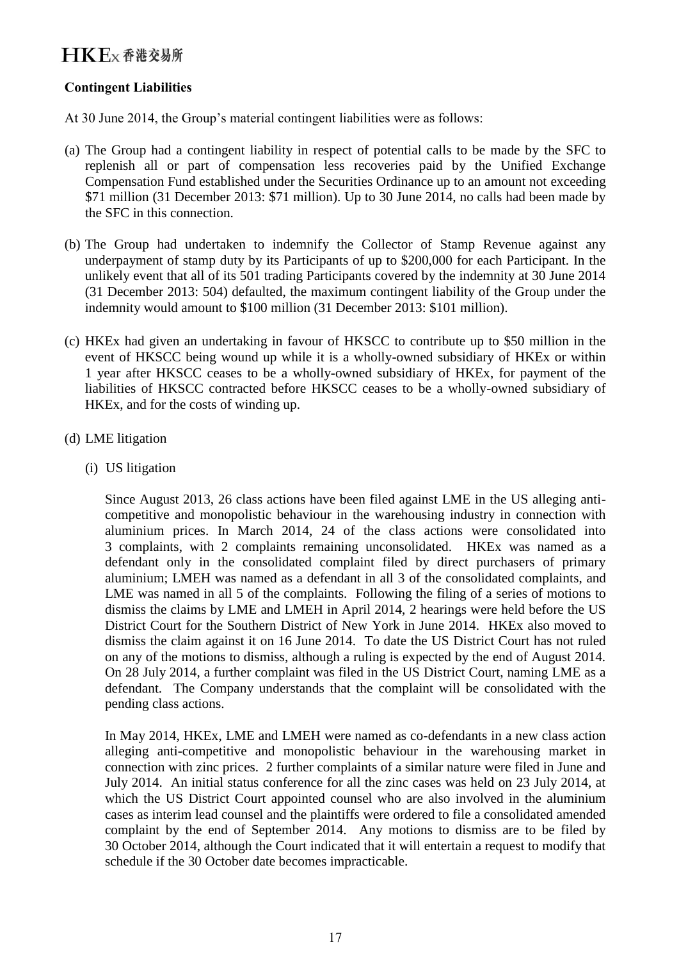### **Contingent Liabilities**

At 30 June 2014, the Group's material contingent liabilities were as follows:

- (a) The Group had a contingent liability in respect of potential calls to be made by the SFC to replenish all or part of compensation less recoveries paid by the Unified Exchange Compensation Fund established under the Securities Ordinance up to an amount not exceeding \$71 million (31 December 2013: \$71 million). Up to 30 June 2014, no calls had been made by the SFC in this connection.
- (b) The Group had undertaken to indemnify the Collector of Stamp Revenue against any underpayment of stamp duty by its Participants of up to \$200,000 for each Participant. In the unlikely event that all of its 501 trading Participants covered by the indemnity at 30 June 2014 (31 December 2013: 504) defaulted, the maximum contingent liability of the Group under the indemnity would amount to \$100 million (31 December 2013: \$101 million).
- (c) HKEx had given an undertaking in favour of HKSCC to contribute up to \$50 million in the event of HKSCC being wound up while it is a wholly-owned subsidiary of HKEx or within 1 year after HKSCC ceases to be a wholly-owned subsidiary of HKEx, for payment of the liabilities of HKSCC contracted before HKSCC ceases to be a wholly-owned subsidiary of HKEx, and for the costs of winding up.
- (d) LME litigation
	- (i) US litigation

Since August 2013, 26 class actions have been filed against LME in the US alleging anticompetitive and monopolistic behaviour in the warehousing industry in connection with aluminium prices. In March 2014, 24 of the class actions were consolidated into 3 complaints, with 2 complaints remaining unconsolidated. HKEx was named as a defendant only in the consolidated complaint filed by direct purchasers of primary aluminium; LMEH was named as a defendant in all 3 of the consolidated complaints, and LME was named in all 5 of the complaints. Following the filing of a series of motions to dismiss the claims by LME and LMEH in April 2014, 2 hearings were held before the US District Court for the Southern District of New York in June 2014. HKEx also moved to dismiss the claim against it on 16 June 2014. To date the US District Court has not ruled on any of the motions to dismiss, although a ruling is expected by the end of August 2014. On 28 July 2014, a further complaint was filed in the US District Court, naming LME as a defendant. The Company understands that the complaint will be consolidated with the pending class actions.

In May 2014, HKEx, LME and LMEH were named as co-defendants in a new class action alleging anti-competitive and monopolistic behaviour in the warehousing market in connection with zinc prices. 2 further complaints of a similar nature were filed in June and July 2014. An initial status conference for all the zinc cases was held on 23 July 2014, at which the US District Court appointed counsel who are also involved in the aluminium cases as interim lead counsel and the plaintiffs were ordered to file a consolidated amended complaint by the end of September 2014. Any motions to dismiss are to be filed by 30 October 2014, although the Court indicated that it will entertain a request to modify that schedule if the 30 October date becomes impracticable.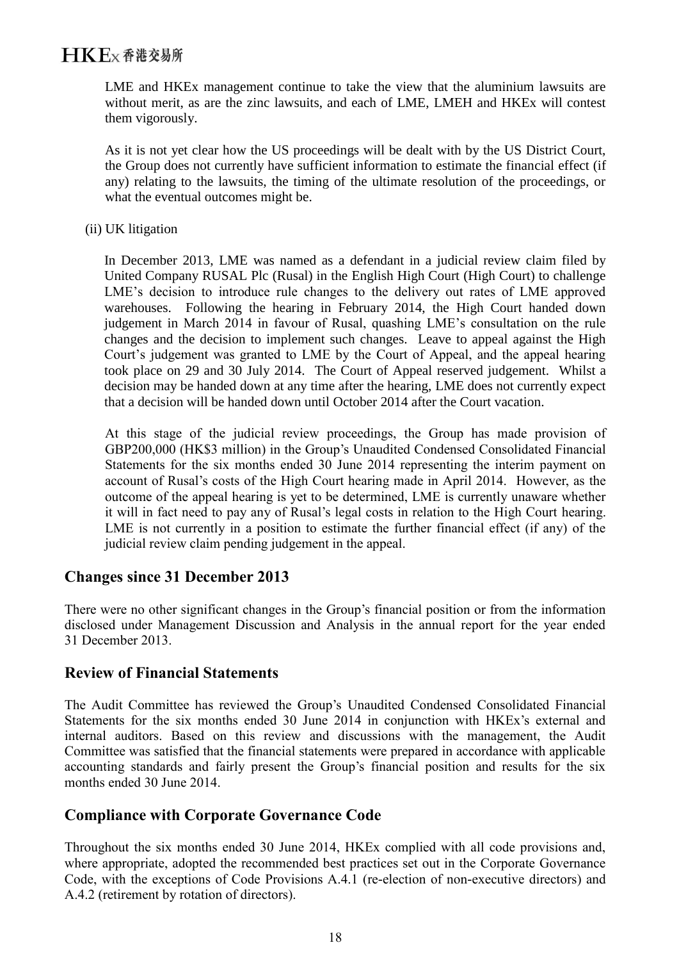LME and HKEx management continue to take the view that the aluminium lawsuits are without merit, as are the zinc lawsuits, and each of LME, LMEH and HKEx will contest them vigorously.

As it is not yet clear how the US proceedings will be dealt with by the US District Court, the Group does not currently have sufficient information to estimate the financial effect (if any) relating to the lawsuits, the timing of the ultimate resolution of the proceedings, or what the eventual outcomes might be.

(ii) UK litigation

In December 2013, LME was named as a defendant in a judicial review claim filed by United Company RUSAL Plc (Rusal) in the English High Court (High Court) to challenge LME's decision to introduce rule changes to the delivery out rates of LME approved warehouses. Following the hearing in February 2014, the High Court handed down judgement in March 2014 in favour of Rusal, quashing LME's consultation on the rule changes and the decision to implement such changes. Leave to appeal against the High Court's judgement was granted to LME by the Court of Appeal, and the appeal hearing took place on 29 and 30 July 2014. The Court of Appeal reserved judgement. Whilst a decision may be handed down at any time after the hearing, LME does not currently expect that a decision will be handed down until October 2014 after the Court vacation.

At this stage of the judicial review proceedings, the Group has made provision of GBP200,000 (HK\$3 million) in the Group's Unaudited Condensed Consolidated Financial Statements for the six months ended 30 June 2014 representing the interim payment on account of Rusal's costs of the High Court hearing made in April 2014. However, as the outcome of the appeal hearing is yet to be determined, LME is currently unaware whether it will in fact need to pay any of Rusal's legal costs in relation to the High Court hearing. LME is not currently in a position to estimate the further financial effect (if any) of the judicial review claim pending judgement in the appeal.

### **Changes since 31 December 2013**

There were no other significant changes in the Group's financial position or from the information disclosed under Management Discussion and Analysis in the annual report for the year ended 31 December 2013.

### **Review of Financial Statements**

The Audit Committee has reviewed the Group's Unaudited Condensed Consolidated Financial Statements for the six months ended 30 June 2014 in conjunction with HKEx's external and internal auditors. Based on this review and discussions with the management, the Audit Committee was satisfied that the financial statements were prepared in accordance with applicable accounting standards and fairly present the Group's financial position and results for the six months ended 30 June 2014.

### **Compliance with Corporate Governance Code**

Throughout the six months ended 30 June 2014, HKEx complied with all code provisions and, where appropriate, adopted the recommended best practices set out in the Corporate Governance Code, with the exceptions of Code Provisions A.4.1 (re-election of non-executive directors) and A.4.2 (retirement by rotation of directors).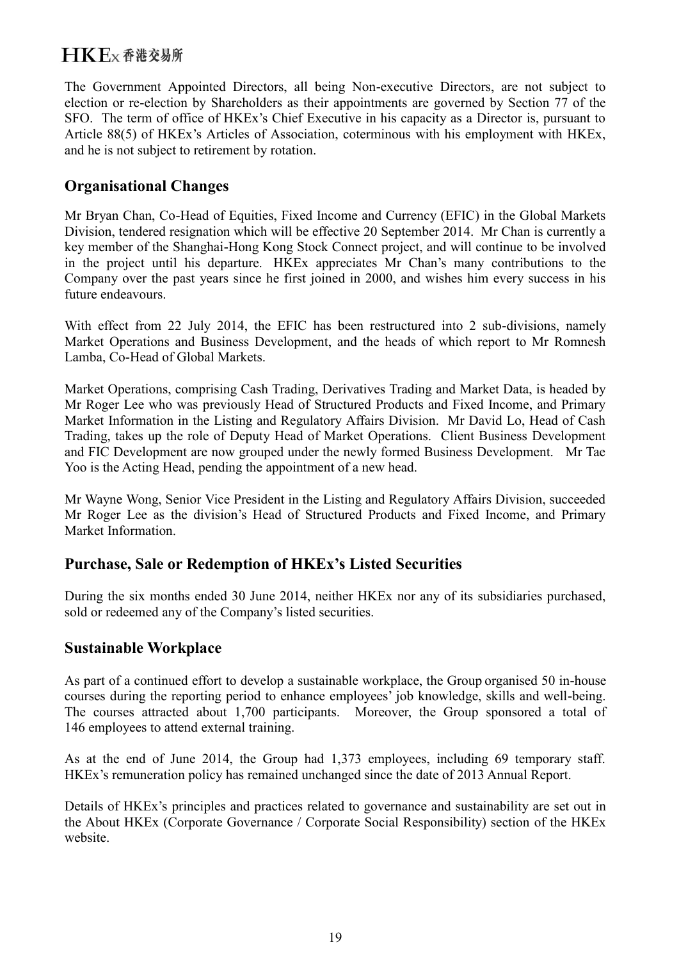The Government Appointed Directors, all being Non-executive Directors, are not subject to election or re-election by Shareholders as their appointments are governed by Section 77 of the SFO. The term of office of HKEx's Chief Executive in his capacity as a Director is, pursuant to Article 88(5) of HKEx's Articles of Association, coterminous with his employment with HKEx, and he is not subject to retirement by rotation.

### **Organisational Changes**

Mr Bryan Chan, Co-Head of Equities, Fixed Income and Currency (EFIC) in the Global Markets Division, tendered resignation which will be effective 20 September 2014. Mr Chan is currently a key member of the Shanghai-Hong Kong Stock Connect project, and will continue to be involved in the project until his departure. HKEx appreciates Mr Chan's many contributions to the Company over the past years since he first joined in 2000, and wishes him every success in his future endeavours.

With effect from 22 July 2014, the EFIC has been restructured into 2 sub-divisions, namely Market Operations and Business Development, and the heads of which report to Mr Romnesh Lamba, Co-Head of Global Markets.

Market Operations, comprising Cash Trading, Derivatives Trading and Market Data, is headed by Mr Roger Lee who was previously Head of Structured Products and Fixed Income, and Primary Market Information in the Listing and Regulatory Affairs Division. Mr David Lo, Head of Cash Trading, takes up the role of Deputy Head of Market Operations. Client Business Development and FIC Development are now grouped under the newly formed Business Development. Mr Tae Yoo is the Acting Head, pending the appointment of a new head.

Mr Wayne Wong, Senior Vice President in the Listing and Regulatory Affairs Division, succeeded Mr Roger Lee as the division's Head of Structured Products and Fixed Income, and Primary Market Information.

### **Purchase, Sale or Redemption of HKEx's Listed Securities**

During the six months ended 30 June 2014, neither HKEx nor any of its subsidiaries purchased, sold or redeemed any of the Company's listed securities.

### **Sustainable Workplace**

As part of a continued effort to develop a sustainable workplace, the Group organised 50 in-house courses during the reporting period to enhance employees' job knowledge, skills and well-being. The courses attracted about 1,700 participants. Moreover, the Group sponsored a total of 146 employees to attend external training.

As at the end of June 2014, the Group had 1,373 employees, including 69 temporary staff. HKEx's remuneration policy has remained unchanged since the date of 2013 Annual Report.

Details of HKEx's principles and practices related to governance and sustainability are set out in the About HKEx (Corporate Governance / Corporate Social Responsibility) section of the HKEx website.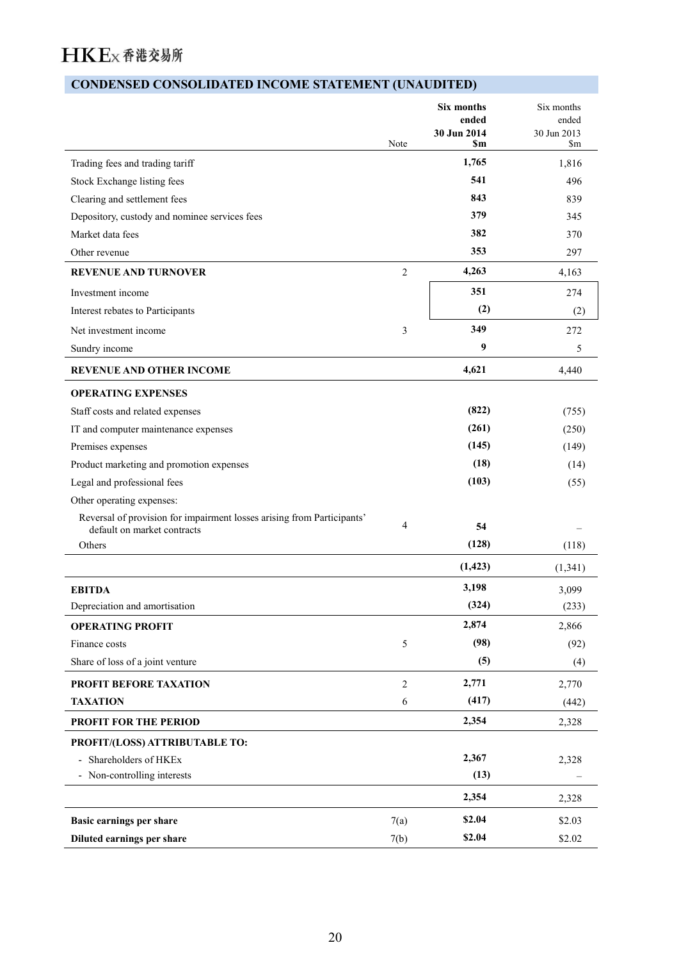## **CONDENSED CONSOLIDATED INCOME STATEMENT (UNAUDITED)**

|                                                                                                       | Note           | <b>Six months</b><br>ended<br>30 Jun 2014<br>\$m | Six months<br>ended<br>30 Jun 2013<br>$\mathop{\mathrm{Sm}}$ |
|-------------------------------------------------------------------------------------------------------|----------------|--------------------------------------------------|--------------------------------------------------------------|
| Trading fees and trading tariff                                                                       |                | 1,765                                            | 1,816                                                        |
| Stock Exchange listing fees                                                                           |                | 541                                              | 496                                                          |
| Clearing and settlement fees                                                                          |                | 843                                              | 839                                                          |
| Depository, custody and nominee services fees                                                         |                | 379                                              | 345                                                          |
| Market data fees                                                                                      |                | 382                                              | 370                                                          |
| Other revenue                                                                                         |                | 353                                              | 297                                                          |
| <b>REVENUE AND TURNOVER</b>                                                                           | $\overline{2}$ | 4,263                                            | 4,163                                                        |
| Investment income                                                                                     |                | 351                                              | 274                                                          |
| Interest rebates to Participants                                                                      |                | (2)                                              | (2)                                                          |
| Net investment income                                                                                 | 3              | 349                                              | 272                                                          |
| Sundry income                                                                                         |                | 9                                                | 5                                                            |
| REVENUE AND OTHER INCOME                                                                              |                | 4,621                                            | 4,440                                                        |
| <b>OPERATING EXPENSES</b>                                                                             |                |                                                  |                                                              |
| Staff costs and related expenses                                                                      |                | (822)                                            | (755)                                                        |
| IT and computer maintenance expenses                                                                  |                | (261)                                            | (250)                                                        |
| Premises expenses                                                                                     |                | (145)                                            | (149)                                                        |
| Product marketing and promotion expenses                                                              |                | (18)                                             | (14)                                                         |
| Legal and professional fees                                                                           |                | (103)                                            | (55)                                                         |
| Other operating expenses:                                                                             |                |                                                  |                                                              |
| Reversal of provision for impairment losses arising from Participants'<br>default on market contracts | 4              | 54                                               |                                                              |
| Others                                                                                                |                | (128)                                            | (118)                                                        |
|                                                                                                       |                | (1, 423)                                         | (1, 341)                                                     |
| <b>EBITDA</b>                                                                                         |                | 3,198                                            | 3,099                                                        |
| Depreciation and amortisation                                                                         |                | (324)                                            | (233)                                                        |
| <b>OPERATING PROFIT</b>                                                                               |                | 2,874                                            | 2,866                                                        |
| Finance costs                                                                                         | 5              | (98)                                             | (92)                                                         |
| Share of loss of a joint venture                                                                      |                | (5)                                              | (4)                                                          |
| PROFIT BEFORE TAXATION                                                                                | $\overline{2}$ | 2,771                                            | 2,770                                                        |
| <b>TAXATION</b>                                                                                       | 6              | (417)                                            | (442)                                                        |
| <b>PROFIT FOR THE PERIOD</b>                                                                          |                | 2,354                                            | 2,328                                                        |
| PROFIT/(LOSS) ATTRIBUTABLE TO:                                                                        |                |                                                  |                                                              |
| - Shareholders of HKEx                                                                                |                | 2,367                                            | 2,328                                                        |
| - Non-controlling interests                                                                           |                | (13)                                             |                                                              |
|                                                                                                       |                | 2,354                                            | 2,328                                                        |
| <b>Basic earnings per share</b>                                                                       | 7(a)           | \$2.04                                           | \$2.03                                                       |
| Diluted earnings per share                                                                            | 7(b)           | \$2.04                                           | \$2.02                                                       |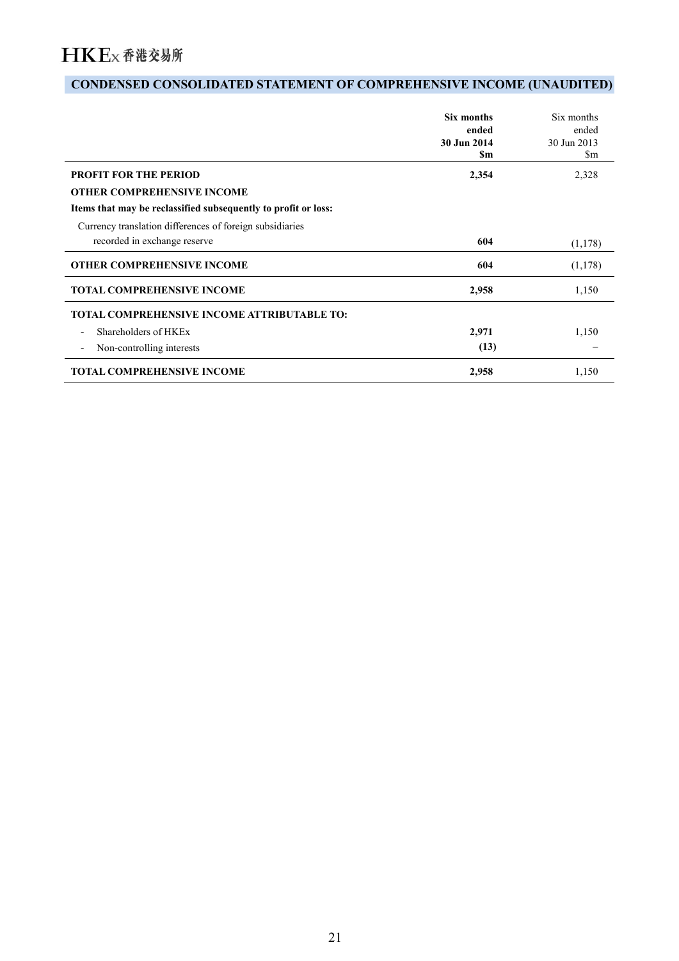## **CONDENSED CONSOLIDATED STATEMENT OF COMPREHENSIVE INCOME (UNAUDITED)**

|                                                                | Six months<br>ended<br>30 Jun 2014<br>\$m | Six months<br>ended<br>30 Jun 2013<br>\$m |
|----------------------------------------------------------------|-------------------------------------------|-------------------------------------------|
| <b>PROFIT FOR THE PERIOD</b>                                   | 2,354                                     | 2,328                                     |
| <b>OTHER COMPREHENSIVE INCOME</b>                              |                                           |                                           |
| Items that may be reclassified subsequently to profit or loss: |                                           |                                           |
| Currency translation differences of foreign subsidiaries       |                                           |                                           |
| recorded in exchange reserve                                   | 604                                       | (1,178)                                   |
| <b>OTHER COMPREHENSIVE INCOME</b>                              | 604                                       | (1,178)                                   |
| <b>TOTAL COMPREHENSIVE INCOME</b>                              | 2,958                                     | 1,150                                     |
| <b>TOTAL COMPREHENSIVE INCOME ATTRIBUTABLE TO:</b>             |                                           |                                           |
| Shareholders of HKEx<br>$\overline{\phantom{a}}$               | 2,971                                     | 1,150                                     |
| Non-controlling interests<br>$\overline{\phantom{a}}$          | (13)                                      |                                           |
| <b>TOTAL COMPREHENSIVE INCOME</b>                              | 2,958                                     | 1,150                                     |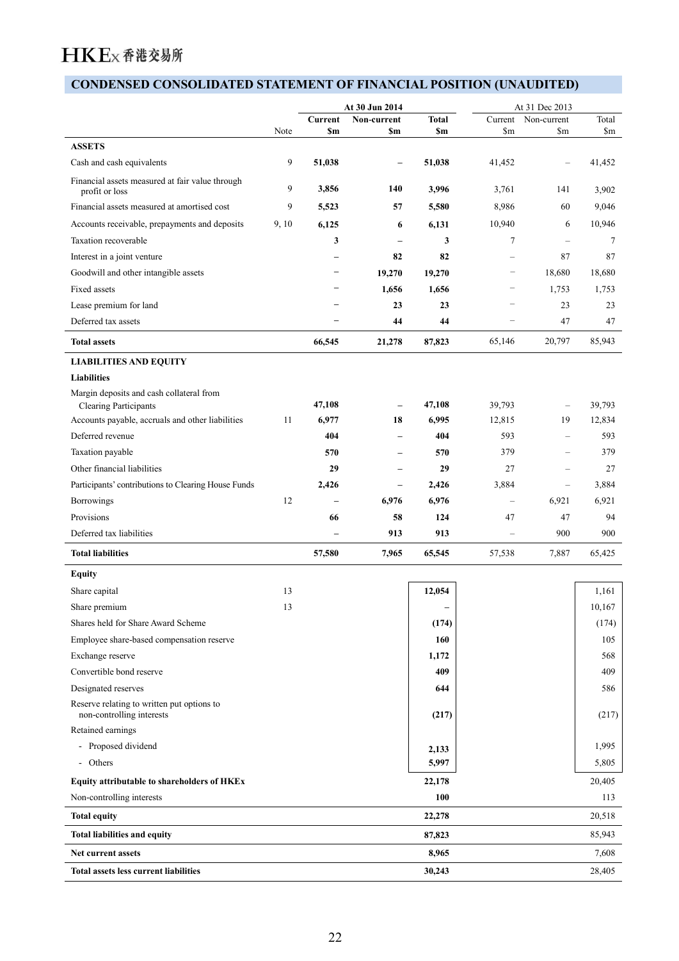## **CONDENSED CONSOLIDATED STATEMENT OF FINANCIAL POSITION (UNAUDITED)**

| Non-current<br><b>Total</b><br>Current Non-current<br>Current<br>$\mathsf{Sm}$<br>Note<br>\$m<br>\$m<br>$\mathbf{Sm}$<br>\$m<br>9<br>51,038<br>41,452<br>51,038<br>$\overline{\phantom{m}}$<br>$\overline{\phantom{m}}$<br>3,856<br>9<br>140<br>3,996<br>3,761<br>141<br>profit or loss<br>9<br>5,523<br>57<br>5,580<br>8,986<br>60<br>10,940<br>9, 10<br>6,125<br>6<br>6<br>6,131<br>3<br>$\mathbf{3}$<br>$7\phantom{.0}$<br>$\overline{\phantom{m}}$<br>$\overline{\phantom{m}}$<br>82<br>82<br>87<br>$\overline{\phantom{m}}$<br>$\overline{\phantom{0}}$<br>Goodwill and other intangible assets<br>19,270<br>19,270<br>18,680<br>$\overline{\phantom{m}}$<br>$\overline{\phantom{m}}$<br>1,656<br>1,656<br>1,753<br>$\overline{\phantom{m}}$<br>$\overline{\phantom{0}}$<br>Lease premium for land<br>23<br>23<br>23<br>$\overline{\phantom{m}}$<br>$\overline{\phantom{0}}$<br>47<br>44<br>44<br>$\overline{\phantom{m}}$<br>$\overline{\phantom{m}}$<br>21,278<br>87,823<br>65,146<br>20,797<br>66,545<br><b>LIABILITIES AND EQUITY</b><br>Liabilities<br>Margin deposits and cash collateral from<br>47,108<br>47,108<br>39,793<br><b>Clearing Participants</b><br>$\overline{\phantom{m}}$<br>$\overline{\phantom{m}}$<br>11<br>6,977<br>18<br>6,995<br>12,815<br>19<br>593<br>404<br>404<br>$\overline{\phantom{m}}$<br>$\hspace{0.1mm}-\hspace{0.1mm}$<br>379<br>570<br>570<br>$\overline{\phantom{m}}$<br>$\overline{\phantom{m}}$<br>29<br>27<br>29<br>$\overline{\phantom{m}}$<br>$\overline{\phantom{a}}$<br>3,884<br>2,426<br>2,426<br>$\overline{\phantom{m}}$<br>$\overline{\phantom{m}}$<br>12<br>6,976<br>6,976<br>6,921<br>$\overline{\phantom{m}}$<br>$\overline{\phantom{m}}$<br>58<br>124<br>47<br>47<br>66<br>900<br>913<br>913<br>$\overline{\phantom{m}}$<br>$\overline{\phantom{m}}$<br>7,887<br>57,580<br>7,965<br>65,545<br>57,538<br>13<br>Share capital<br>12,054<br>1,161<br>13<br>10,167<br>Share premium<br>$\overline{\phantom{0}}$<br>Shares held for Share Award Scheme<br>(174)<br>Employee share-based compensation reserve<br>160<br>105<br>Exchange reserve<br>1,172<br>Convertible bond reserve<br>409<br>Designated reserves<br>644<br>586<br>non-controlling interests<br>(217)<br>(217)<br>Retained earnings<br>- Proposed dividend<br>1,995<br>2,133<br>5,997<br>- Others<br>5,805<br>22,178<br>20,405<br>Equity attributable to shareholders of HKEx<br>100<br>113<br>Non-controlling interests<br>22,278<br>87,823<br>8,965<br>30,243 |                                                     |  | At 30 Jun 2014 |  | At 31 Dec 2013 |                                 |
|----------------------------------------------------------------------------------------------------------------------------------------------------------------------------------------------------------------------------------------------------------------------------------------------------------------------------------------------------------------------------------------------------------------------------------------------------------------------------------------------------------------------------------------------------------------------------------------------------------------------------------------------------------------------------------------------------------------------------------------------------------------------------------------------------------------------------------------------------------------------------------------------------------------------------------------------------------------------------------------------------------------------------------------------------------------------------------------------------------------------------------------------------------------------------------------------------------------------------------------------------------------------------------------------------------------------------------------------------------------------------------------------------------------------------------------------------------------------------------------------------------------------------------------------------------------------------------------------------------------------------------------------------------------------------------------------------------------------------------------------------------------------------------------------------------------------------------------------------------------------------------------------------------------------------------------------------------------------------------------------------------------------------------------------------------------------------------------------------------------------------------------------------------------------------------------------------------------------------------------------------------------------------------------------------------------------------------------------------------------------------------------------------------------------------------------------------------------------------------------|-----------------------------------------------------|--|----------------|--|----------------|---------------------------------|
|                                                                                                                                                                                                                                                                                                                                                                                                                                                                                                                                                                                                                                                                                                                                                                                                                                                                                                                                                                                                                                                                                                                                                                                                                                                                                                                                                                                                                                                                                                                                                                                                                                                                                                                                                                                                                                                                                                                                                                                                                                                                                                                                                                                                                                                                                                                                                                                                                                                                                        |                                                     |  |                |  |                | Total<br>$\mathop{\mathrm{Sm}}$ |
|                                                                                                                                                                                                                                                                                                                                                                                                                                                                                                                                                                                                                                                                                                                                                                                                                                                                                                                                                                                                                                                                                                                                                                                                                                                                                                                                                                                                                                                                                                                                                                                                                                                                                                                                                                                                                                                                                                                                                                                                                                                                                                                                                                                                                                                                                                                                                                                                                                                                                        | <b>ASSETS</b>                                       |  |                |  |                |                                 |
|                                                                                                                                                                                                                                                                                                                                                                                                                                                                                                                                                                                                                                                                                                                                                                                                                                                                                                                                                                                                                                                                                                                                                                                                                                                                                                                                                                                                                                                                                                                                                                                                                                                                                                                                                                                                                                                                                                                                                                                                                                                                                                                                                                                                                                                                                                                                                                                                                                                                                        | Cash and cash equivalents                           |  |                |  |                | 41,452                          |
|                                                                                                                                                                                                                                                                                                                                                                                                                                                                                                                                                                                                                                                                                                                                                                                                                                                                                                                                                                                                                                                                                                                                                                                                                                                                                                                                                                                                                                                                                                                                                                                                                                                                                                                                                                                                                                                                                                                                                                                                                                                                                                                                                                                                                                                                                                                                                                                                                                                                                        | Financial assets measured at fair value through     |  |                |  |                | 3,902                           |
|                                                                                                                                                                                                                                                                                                                                                                                                                                                                                                                                                                                                                                                                                                                                                                                                                                                                                                                                                                                                                                                                                                                                                                                                                                                                                                                                                                                                                                                                                                                                                                                                                                                                                                                                                                                                                                                                                                                                                                                                                                                                                                                                                                                                                                                                                                                                                                                                                                                                                        | Financial assets measured at amortised cost         |  |                |  |                | 9,046                           |
|                                                                                                                                                                                                                                                                                                                                                                                                                                                                                                                                                                                                                                                                                                                                                                                                                                                                                                                                                                                                                                                                                                                                                                                                                                                                                                                                                                                                                                                                                                                                                                                                                                                                                                                                                                                                                                                                                                                                                                                                                                                                                                                                                                                                                                                                                                                                                                                                                                                                                        | Accounts receivable, prepayments and deposits       |  |                |  |                | 10,946                          |
|                                                                                                                                                                                                                                                                                                                                                                                                                                                                                                                                                                                                                                                                                                                                                                                                                                                                                                                                                                                                                                                                                                                                                                                                                                                                                                                                                                                                                                                                                                                                                                                                                                                                                                                                                                                                                                                                                                                                                                                                                                                                                                                                                                                                                                                                                                                                                                                                                                                                                        | Taxation recoverable                                |  |                |  |                | $\overline{7}$                  |
|                                                                                                                                                                                                                                                                                                                                                                                                                                                                                                                                                                                                                                                                                                                                                                                                                                                                                                                                                                                                                                                                                                                                                                                                                                                                                                                                                                                                                                                                                                                                                                                                                                                                                                                                                                                                                                                                                                                                                                                                                                                                                                                                                                                                                                                                                                                                                                                                                                                                                        | Interest in a joint venture                         |  |                |  |                | 87                              |
|                                                                                                                                                                                                                                                                                                                                                                                                                                                                                                                                                                                                                                                                                                                                                                                                                                                                                                                                                                                                                                                                                                                                                                                                                                                                                                                                                                                                                                                                                                                                                                                                                                                                                                                                                                                                                                                                                                                                                                                                                                                                                                                                                                                                                                                                                                                                                                                                                                                                                        |                                                     |  |                |  |                | 18,680                          |
|                                                                                                                                                                                                                                                                                                                                                                                                                                                                                                                                                                                                                                                                                                                                                                                                                                                                                                                                                                                                                                                                                                                                                                                                                                                                                                                                                                                                                                                                                                                                                                                                                                                                                                                                                                                                                                                                                                                                                                                                                                                                                                                                                                                                                                                                                                                                                                                                                                                                                        | Fixed assets                                        |  |                |  |                | 1,753                           |
|                                                                                                                                                                                                                                                                                                                                                                                                                                                                                                                                                                                                                                                                                                                                                                                                                                                                                                                                                                                                                                                                                                                                                                                                                                                                                                                                                                                                                                                                                                                                                                                                                                                                                                                                                                                                                                                                                                                                                                                                                                                                                                                                                                                                                                                                                                                                                                                                                                                                                        |                                                     |  |                |  |                | 23                              |
|                                                                                                                                                                                                                                                                                                                                                                                                                                                                                                                                                                                                                                                                                                                                                                                                                                                                                                                                                                                                                                                                                                                                                                                                                                                                                                                                                                                                                                                                                                                                                                                                                                                                                                                                                                                                                                                                                                                                                                                                                                                                                                                                                                                                                                                                                                                                                                                                                                                                                        | Deferred tax assets                                 |  |                |  |                | 47                              |
|                                                                                                                                                                                                                                                                                                                                                                                                                                                                                                                                                                                                                                                                                                                                                                                                                                                                                                                                                                                                                                                                                                                                                                                                                                                                                                                                                                                                                                                                                                                                                                                                                                                                                                                                                                                                                                                                                                                                                                                                                                                                                                                                                                                                                                                                                                                                                                                                                                                                                        | <b>Total assets</b>                                 |  |                |  |                | 85,943                          |
|                                                                                                                                                                                                                                                                                                                                                                                                                                                                                                                                                                                                                                                                                                                                                                                                                                                                                                                                                                                                                                                                                                                                                                                                                                                                                                                                                                                                                                                                                                                                                                                                                                                                                                                                                                                                                                                                                                                                                                                                                                                                                                                                                                                                                                                                                                                                                                                                                                                                                        |                                                     |  |                |  |                |                                 |
|                                                                                                                                                                                                                                                                                                                                                                                                                                                                                                                                                                                                                                                                                                                                                                                                                                                                                                                                                                                                                                                                                                                                                                                                                                                                                                                                                                                                                                                                                                                                                                                                                                                                                                                                                                                                                                                                                                                                                                                                                                                                                                                                                                                                                                                                                                                                                                                                                                                                                        |                                                     |  |                |  |                |                                 |
|                                                                                                                                                                                                                                                                                                                                                                                                                                                                                                                                                                                                                                                                                                                                                                                                                                                                                                                                                                                                                                                                                                                                                                                                                                                                                                                                                                                                                                                                                                                                                                                                                                                                                                                                                                                                                                                                                                                                                                                                                                                                                                                                                                                                                                                                                                                                                                                                                                                                                        |                                                     |  |                |  |                |                                 |
|                                                                                                                                                                                                                                                                                                                                                                                                                                                                                                                                                                                                                                                                                                                                                                                                                                                                                                                                                                                                                                                                                                                                                                                                                                                                                                                                                                                                                                                                                                                                                                                                                                                                                                                                                                                                                                                                                                                                                                                                                                                                                                                                                                                                                                                                                                                                                                                                                                                                                        |                                                     |  |                |  |                | 39,793                          |
|                                                                                                                                                                                                                                                                                                                                                                                                                                                                                                                                                                                                                                                                                                                                                                                                                                                                                                                                                                                                                                                                                                                                                                                                                                                                                                                                                                                                                                                                                                                                                                                                                                                                                                                                                                                                                                                                                                                                                                                                                                                                                                                                                                                                                                                                                                                                                                                                                                                                                        | Accounts payable, accruals and other liabilities    |  |                |  |                | 12,834                          |
|                                                                                                                                                                                                                                                                                                                                                                                                                                                                                                                                                                                                                                                                                                                                                                                                                                                                                                                                                                                                                                                                                                                                                                                                                                                                                                                                                                                                                                                                                                                                                                                                                                                                                                                                                                                                                                                                                                                                                                                                                                                                                                                                                                                                                                                                                                                                                                                                                                                                                        | Deferred revenue                                    |  |                |  |                | 593                             |
|                                                                                                                                                                                                                                                                                                                                                                                                                                                                                                                                                                                                                                                                                                                                                                                                                                                                                                                                                                                                                                                                                                                                                                                                                                                                                                                                                                                                                                                                                                                                                                                                                                                                                                                                                                                                                                                                                                                                                                                                                                                                                                                                                                                                                                                                                                                                                                                                                                                                                        | Taxation payable                                    |  |                |  |                | 379                             |
|                                                                                                                                                                                                                                                                                                                                                                                                                                                                                                                                                                                                                                                                                                                                                                                                                                                                                                                                                                                                                                                                                                                                                                                                                                                                                                                                                                                                                                                                                                                                                                                                                                                                                                                                                                                                                                                                                                                                                                                                                                                                                                                                                                                                                                                                                                                                                                                                                                                                                        | Other financial liabilities                         |  |                |  |                | 27                              |
|                                                                                                                                                                                                                                                                                                                                                                                                                                                                                                                                                                                                                                                                                                                                                                                                                                                                                                                                                                                                                                                                                                                                                                                                                                                                                                                                                                                                                                                                                                                                                                                                                                                                                                                                                                                                                                                                                                                                                                                                                                                                                                                                                                                                                                                                                                                                                                                                                                                                                        | Participants' contributions to Clearing House Funds |  |                |  |                | 3,884                           |
|                                                                                                                                                                                                                                                                                                                                                                                                                                                                                                                                                                                                                                                                                                                                                                                                                                                                                                                                                                                                                                                                                                                                                                                                                                                                                                                                                                                                                                                                                                                                                                                                                                                                                                                                                                                                                                                                                                                                                                                                                                                                                                                                                                                                                                                                                                                                                                                                                                                                                        | Borrowings                                          |  |                |  |                | 6,921                           |
|                                                                                                                                                                                                                                                                                                                                                                                                                                                                                                                                                                                                                                                                                                                                                                                                                                                                                                                                                                                                                                                                                                                                                                                                                                                                                                                                                                                                                                                                                                                                                                                                                                                                                                                                                                                                                                                                                                                                                                                                                                                                                                                                                                                                                                                                                                                                                                                                                                                                                        | Provisions                                          |  |                |  |                | 94                              |
|                                                                                                                                                                                                                                                                                                                                                                                                                                                                                                                                                                                                                                                                                                                                                                                                                                                                                                                                                                                                                                                                                                                                                                                                                                                                                                                                                                                                                                                                                                                                                                                                                                                                                                                                                                                                                                                                                                                                                                                                                                                                                                                                                                                                                                                                                                                                                                                                                                                                                        | Deferred tax liabilities                            |  |                |  |                | 900                             |
|                                                                                                                                                                                                                                                                                                                                                                                                                                                                                                                                                                                                                                                                                                                                                                                                                                                                                                                                                                                                                                                                                                                                                                                                                                                                                                                                                                                                                                                                                                                                                                                                                                                                                                                                                                                                                                                                                                                                                                                                                                                                                                                                                                                                                                                                                                                                                                                                                                                                                        | <b>Total liabilities</b>                            |  |                |  |                | 65,425                          |
|                                                                                                                                                                                                                                                                                                                                                                                                                                                                                                                                                                                                                                                                                                                                                                                                                                                                                                                                                                                                                                                                                                                                                                                                                                                                                                                                                                                                                                                                                                                                                                                                                                                                                                                                                                                                                                                                                                                                                                                                                                                                                                                                                                                                                                                                                                                                                                                                                                                                                        | <b>Equity</b>                                       |  |                |  |                |                                 |
|                                                                                                                                                                                                                                                                                                                                                                                                                                                                                                                                                                                                                                                                                                                                                                                                                                                                                                                                                                                                                                                                                                                                                                                                                                                                                                                                                                                                                                                                                                                                                                                                                                                                                                                                                                                                                                                                                                                                                                                                                                                                                                                                                                                                                                                                                                                                                                                                                                                                                        |                                                     |  |                |  |                |                                 |
|                                                                                                                                                                                                                                                                                                                                                                                                                                                                                                                                                                                                                                                                                                                                                                                                                                                                                                                                                                                                                                                                                                                                                                                                                                                                                                                                                                                                                                                                                                                                                                                                                                                                                                                                                                                                                                                                                                                                                                                                                                                                                                                                                                                                                                                                                                                                                                                                                                                                                        |                                                     |  |                |  |                |                                 |
|                                                                                                                                                                                                                                                                                                                                                                                                                                                                                                                                                                                                                                                                                                                                                                                                                                                                                                                                                                                                                                                                                                                                                                                                                                                                                                                                                                                                                                                                                                                                                                                                                                                                                                                                                                                                                                                                                                                                                                                                                                                                                                                                                                                                                                                                                                                                                                                                                                                                                        |                                                     |  |                |  |                | (174)                           |
|                                                                                                                                                                                                                                                                                                                                                                                                                                                                                                                                                                                                                                                                                                                                                                                                                                                                                                                                                                                                                                                                                                                                                                                                                                                                                                                                                                                                                                                                                                                                                                                                                                                                                                                                                                                                                                                                                                                                                                                                                                                                                                                                                                                                                                                                                                                                                                                                                                                                                        |                                                     |  |                |  |                |                                 |
|                                                                                                                                                                                                                                                                                                                                                                                                                                                                                                                                                                                                                                                                                                                                                                                                                                                                                                                                                                                                                                                                                                                                                                                                                                                                                                                                                                                                                                                                                                                                                                                                                                                                                                                                                                                                                                                                                                                                                                                                                                                                                                                                                                                                                                                                                                                                                                                                                                                                                        |                                                     |  |                |  |                | 568                             |
|                                                                                                                                                                                                                                                                                                                                                                                                                                                                                                                                                                                                                                                                                                                                                                                                                                                                                                                                                                                                                                                                                                                                                                                                                                                                                                                                                                                                                                                                                                                                                                                                                                                                                                                                                                                                                                                                                                                                                                                                                                                                                                                                                                                                                                                                                                                                                                                                                                                                                        |                                                     |  |                |  |                | 409                             |
|                                                                                                                                                                                                                                                                                                                                                                                                                                                                                                                                                                                                                                                                                                                                                                                                                                                                                                                                                                                                                                                                                                                                                                                                                                                                                                                                                                                                                                                                                                                                                                                                                                                                                                                                                                                                                                                                                                                                                                                                                                                                                                                                                                                                                                                                                                                                                                                                                                                                                        |                                                     |  |                |  |                |                                 |
|                                                                                                                                                                                                                                                                                                                                                                                                                                                                                                                                                                                                                                                                                                                                                                                                                                                                                                                                                                                                                                                                                                                                                                                                                                                                                                                                                                                                                                                                                                                                                                                                                                                                                                                                                                                                                                                                                                                                                                                                                                                                                                                                                                                                                                                                                                                                                                                                                                                                                        | Reserve relating to written put options to          |  |                |  |                |                                 |
|                                                                                                                                                                                                                                                                                                                                                                                                                                                                                                                                                                                                                                                                                                                                                                                                                                                                                                                                                                                                                                                                                                                                                                                                                                                                                                                                                                                                                                                                                                                                                                                                                                                                                                                                                                                                                                                                                                                                                                                                                                                                                                                                                                                                                                                                                                                                                                                                                                                                                        |                                                     |  |                |  |                |                                 |
|                                                                                                                                                                                                                                                                                                                                                                                                                                                                                                                                                                                                                                                                                                                                                                                                                                                                                                                                                                                                                                                                                                                                                                                                                                                                                                                                                                                                                                                                                                                                                                                                                                                                                                                                                                                                                                                                                                                                                                                                                                                                                                                                                                                                                                                                                                                                                                                                                                                                                        |                                                     |  |                |  |                |                                 |
|                                                                                                                                                                                                                                                                                                                                                                                                                                                                                                                                                                                                                                                                                                                                                                                                                                                                                                                                                                                                                                                                                                                                                                                                                                                                                                                                                                                                                                                                                                                                                                                                                                                                                                                                                                                                                                                                                                                                                                                                                                                                                                                                                                                                                                                                                                                                                                                                                                                                                        |                                                     |  |                |  |                |                                 |
|                                                                                                                                                                                                                                                                                                                                                                                                                                                                                                                                                                                                                                                                                                                                                                                                                                                                                                                                                                                                                                                                                                                                                                                                                                                                                                                                                                                                                                                                                                                                                                                                                                                                                                                                                                                                                                                                                                                                                                                                                                                                                                                                                                                                                                                                                                                                                                                                                                                                                        |                                                     |  |                |  |                |                                 |
|                                                                                                                                                                                                                                                                                                                                                                                                                                                                                                                                                                                                                                                                                                                                                                                                                                                                                                                                                                                                                                                                                                                                                                                                                                                                                                                                                                                                                                                                                                                                                                                                                                                                                                                                                                                                                                                                                                                                                                                                                                                                                                                                                                                                                                                                                                                                                                                                                                                                                        |                                                     |  |                |  |                |                                 |
|                                                                                                                                                                                                                                                                                                                                                                                                                                                                                                                                                                                                                                                                                                                                                                                                                                                                                                                                                                                                                                                                                                                                                                                                                                                                                                                                                                                                                                                                                                                                                                                                                                                                                                                                                                                                                                                                                                                                                                                                                                                                                                                                                                                                                                                                                                                                                                                                                                                                                        |                                                     |  |                |  |                |                                 |
|                                                                                                                                                                                                                                                                                                                                                                                                                                                                                                                                                                                                                                                                                                                                                                                                                                                                                                                                                                                                                                                                                                                                                                                                                                                                                                                                                                                                                                                                                                                                                                                                                                                                                                                                                                                                                                                                                                                                                                                                                                                                                                                                                                                                                                                                                                                                                                                                                                                                                        | <b>Total equity</b>                                 |  |                |  |                | 20,518                          |
|                                                                                                                                                                                                                                                                                                                                                                                                                                                                                                                                                                                                                                                                                                                                                                                                                                                                                                                                                                                                                                                                                                                                                                                                                                                                                                                                                                                                                                                                                                                                                                                                                                                                                                                                                                                                                                                                                                                                                                                                                                                                                                                                                                                                                                                                                                                                                                                                                                                                                        | Total liabilities and equity                        |  |                |  |                | 85,943                          |
|                                                                                                                                                                                                                                                                                                                                                                                                                                                                                                                                                                                                                                                                                                                                                                                                                                                                                                                                                                                                                                                                                                                                                                                                                                                                                                                                                                                                                                                                                                                                                                                                                                                                                                                                                                                                                                                                                                                                                                                                                                                                                                                                                                                                                                                                                                                                                                                                                                                                                        | Net current assets                                  |  |                |  |                | 7,608                           |
|                                                                                                                                                                                                                                                                                                                                                                                                                                                                                                                                                                                                                                                                                                                                                                                                                                                                                                                                                                                                                                                                                                                                                                                                                                                                                                                                                                                                                                                                                                                                                                                                                                                                                                                                                                                                                                                                                                                                                                                                                                                                                                                                                                                                                                                                                                                                                                                                                                                                                        | Total assets less current liabilities               |  |                |  |                | 28,405                          |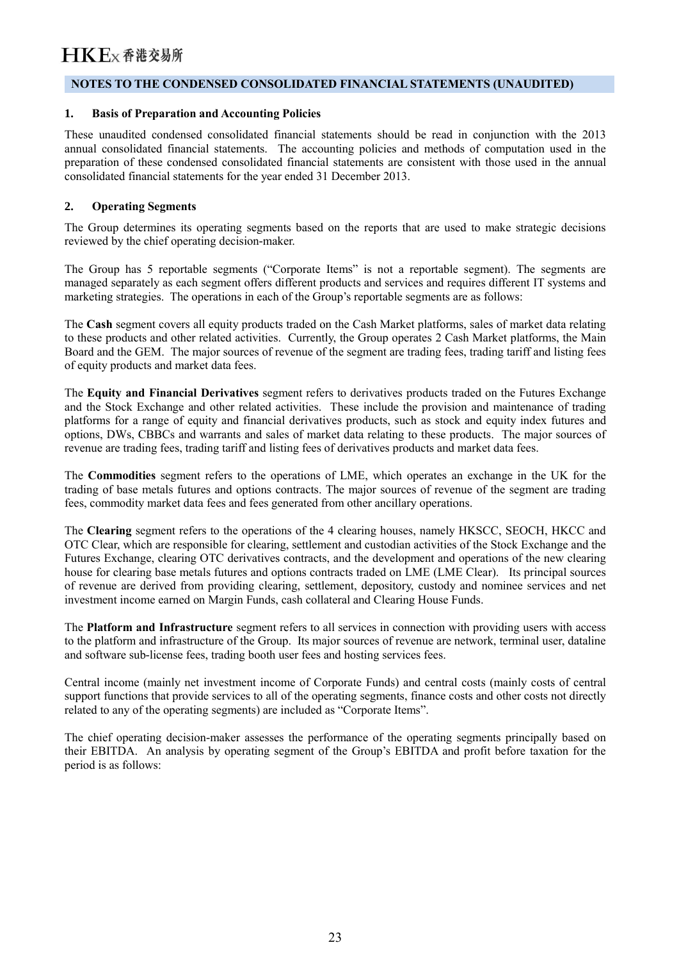#### **NOTES TO THE CONDENSED CONSOLIDATED FINANCIAL STATEMENTS (UNAUDITED)**

#### **1. Basis of Preparation and Accounting Policies**

These unaudited condensed consolidated financial statements should be read in conjunction with the 2013 annual consolidated financial statements. The accounting policies and methods of computation used in the preparation of these condensed consolidated financial statements are consistent with those used in the annual consolidated financial statements for the year ended 31 December 2013.

#### **2. Operating Segments**

The Group determines its operating segments based on the reports that are used to make strategic decisions reviewed by the chief operating decision-maker.

The Group has 5 reportable segments ("Corporate Items" is not a reportable segment). The segments are managed separately as each segment offers different products and services and requires different IT systems and marketing strategies. The operations in each of the Group's reportable segments are as follows:

The **Cash** segment covers all equity products traded on the Cash Market platforms, sales of market data relating to these products and other related activities. Currently, the Group operates 2 Cash Market platforms, the Main Board and the GEM. The major sources of revenue of the segment are trading fees, trading tariff and listing fees of equity products and market data fees.

The **Equity and Financial Derivatives** segment refers to derivatives products traded on the Futures Exchange and the Stock Exchange and other related activities. These include the provision and maintenance of trading platforms for a range of equity and financial derivatives products, such as stock and equity index futures and options, DWs, CBBCs and warrants and sales of market data relating to these products. The major sources of revenue are trading fees, trading tariff and listing fees of derivatives products and market data fees.

The **Commodities** segment refers to the operations of LME, which operates an exchange in the UK for the trading of base metals futures and options contracts. The major sources of revenue of the segment are trading fees, commodity market data fees and fees generated from other ancillary operations.

The **Clearing** segment refers to the operations of the 4 clearing houses, namely HKSCC, SEOCH, HKCC and OTC Clear, which are responsible for clearing, settlement and custodian activities of the Stock Exchange and the Futures Exchange, clearing OTC derivatives contracts, and the development and operations of the new clearing house for clearing base metals futures and options contracts traded on LME (LME Clear). Its principal sources of revenue are derived from providing clearing, settlement, depository, custody and nominee services and net investment income earned on Margin Funds, cash collateral and Clearing House Funds.

The **Platform and Infrastructure** segment refers to all services in connection with providing users with access to the platform and infrastructure of the Group. Its major sources of revenue are network, terminal user, dataline and software sub-license fees, trading booth user fees and hosting services fees.

Central income (mainly net investment income of Corporate Funds) and central costs (mainly costs of central support functions that provide services to all of the operating segments, finance costs and other costs not directly related to any of the operating segments) are included as "Corporate Items".

The chief operating decision-maker assesses the performance of the operating segments principally based on their EBITDA. An analysis by operating segment of the Group's EBITDA and profit before taxation for the period is as follows: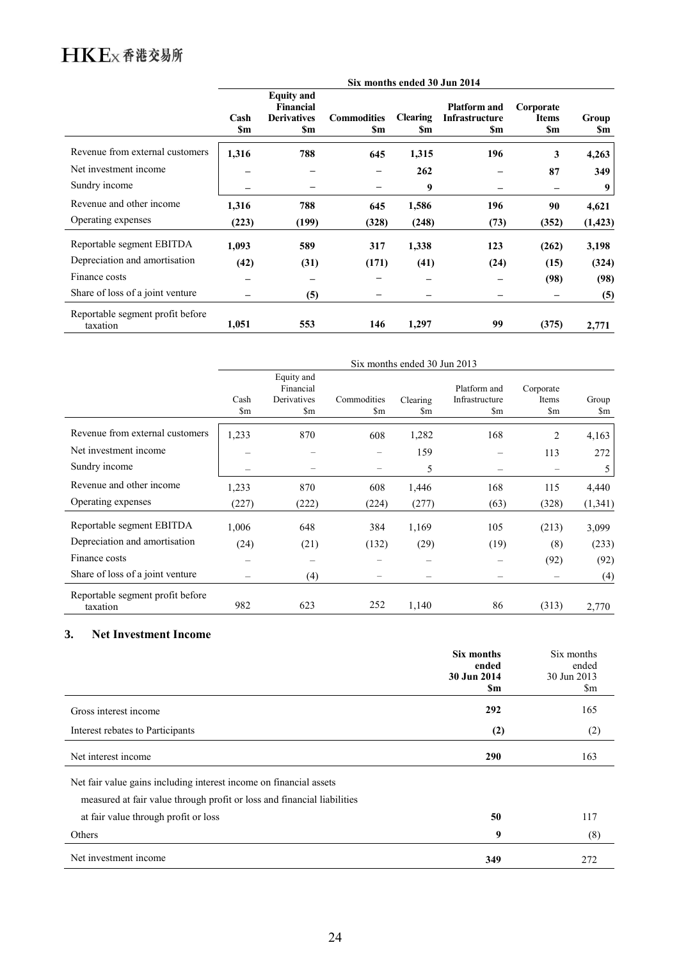|                                              |                   |                                                                    |                           | Six months ended 30 Jun 2014 |                                              |                                        |              |
|----------------------------------------------|-------------------|--------------------------------------------------------------------|---------------------------|------------------------------|----------------------------------------------|----------------------------------------|--------------|
|                                              | Cash<br><b>Sm</b> | <b>Equity</b> and<br><b>Financial</b><br><b>Derivatives</b><br>\$m | <b>Commodities</b><br>\$m | <b>Clearing</b><br>\$m       | <b>Platform and</b><br>Infrastructure<br>\$m | Corporate<br><b>Items</b><br><b>Sm</b> | Group<br>\$m |
| Revenue from external customers              | 1,316             | 788                                                                | 645                       | 1,315                        | 196                                          | 3                                      | 4,263        |
| Net investment income                        |                   |                                                                    |                           | 262                          |                                              | 87                                     | 349          |
| Sundry income                                |                   |                                                                    |                           | 9                            |                                              |                                        | 9            |
| Revenue and other income                     | 1,316             | 788                                                                | 645                       | 1,586                        | 196                                          | 90                                     | 4,621        |
| Operating expenses                           | (223)             | (199)                                                              | (328)                     | (248)                        | (73)                                         | (352)                                  | (1, 423)     |
| Reportable segment EBITDA                    | 1,093             | 589                                                                | 317                       | 1,338                        | 123                                          | (262)                                  | 3,198        |
| Depreciation and amortisation                | (42)              | (31)                                                               | (171)                     | (41)                         | (24)                                         | (15)                                   | (324)        |
| Finance costs                                |                   |                                                                    |                           |                              | —                                            | (98)                                   | (98)         |
| Share of loss of a joint venture             |                   | (5)                                                                |                           |                              |                                              |                                        | (5)          |
| Reportable segment profit before<br>taxation | 1,051             | 553                                                                | 146                       | 1,297                        | 99                                           | (375)                                  | 2,771        |

|                                              | Six months ended 30 Jun 2013 |                                                                  |                              |                          |                                                          |                                              |              |  |
|----------------------------------------------|------------------------------|------------------------------------------------------------------|------------------------------|--------------------------|----------------------------------------------------------|----------------------------------------------|--------------|--|
|                                              | Cash<br>$\mathbb{S}_{m}$     | Equity and<br>Financial<br>Derivatives<br>$\mathop{\mathrm{Sm}}$ | Commodities<br>$\mathbf{Sm}$ | Clearing<br>\$m          | Platform and<br>Infrastructure<br>$\mathop{\mathrm{Sm}}$ | Corporate<br>Items<br>$\mathop{\mathrm{Sm}}$ | Group<br>\$m |  |
| Revenue from external customers              | 1,233                        | 870                                                              | 608                          | 1,282                    | 168                                                      | 2                                            | 4,163        |  |
| Net investment income                        |                              |                                                                  |                              | 159                      |                                                          | 113                                          | 272          |  |
| Sundry income                                |                              |                                                                  |                              | 5                        |                                                          |                                              | 5            |  |
| Revenue and other income                     | 1,233                        | 870                                                              | 608                          | 1,446                    | 168                                                      | 115                                          | 4,440        |  |
| Operating expenses                           | (227)                        | (222)                                                            | (224)                        | (277)                    | (63)                                                     | (328)                                        | (1, 341)     |  |
| Reportable segment EBITDA                    | 1,006                        | 648                                                              | 384                          | 1,169                    | 105                                                      | (213)                                        | 3,099        |  |
| Depreciation and amortisation                | (24)                         | (21)                                                             | (132)                        | (29)                     | (19)                                                     | (8)                                          | (233)        |  |
| Finance costs                                |                              |                                                                  |                              | $\overline{\phantom{0}}$ | -                                                        | (92)                                         | (92)         |  |
| Share of loss of a joint venture             |                              | (4)                                                              |                              |                          |                                                          |                                              | (4)          |  |
| Reportable segment profit before<br>taxation | 982                          | 623                                                              | 252                          | 1,140                    | 86                                                       | (313)                                        | 2,770        |  |

#### **3. Net Investment Income**

|                                                                                                                                               | Six months<br>ended<br>30 Jun 2014<br>\$m | Six months<br>ended<br>30 Jun 2013<br>\$m |
|-----------------------------------------------------------------------------------------------------------------------------------------------|-------------------------------------------|-------------------------------------------|
| Gross interest income                                                                                                                         | 292                                       | 165                                       |
| Interest rebates to Participants                                                                                                              | (2)                                       | (2)                                       |
| Net interest income                                                                                                                           | 290                                       | 163                                       |
| Net fair value gains including interest income on financial assets<br>measured at fair value through profit or loss and financial liabilities |                                           |                                           |
| at fair value through profit or loss                                                                                                          | 50                                        | 117                                       |
| Others                                                                                                                                        | 9                                         | (8)                                       |
| Net investment income                                                                                                                         | 349                                       | 272                                       |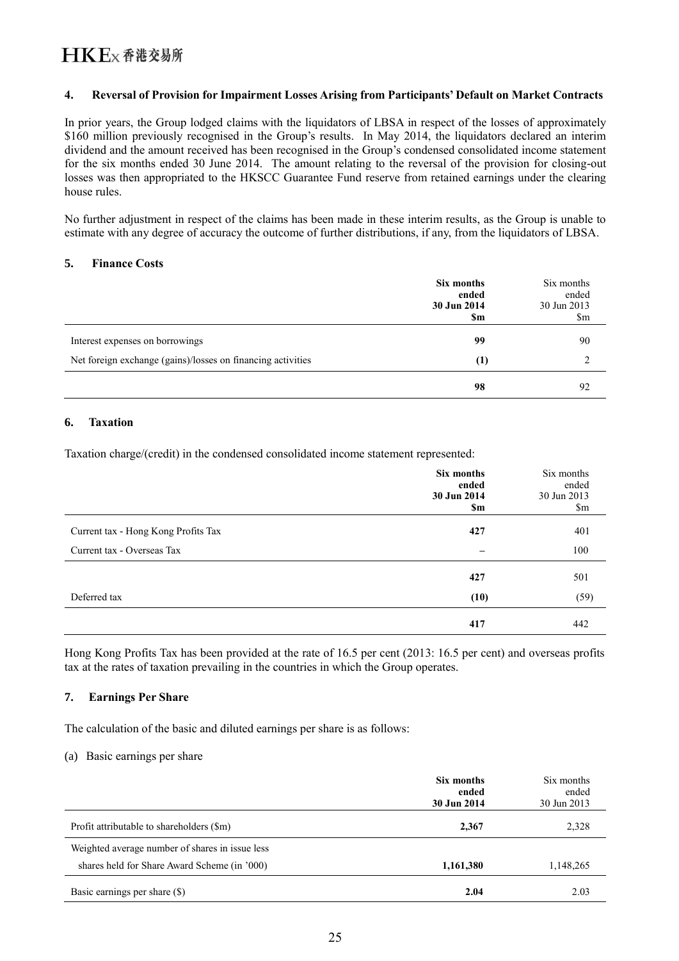#### **4. Reversal of Provision for Impairment Losses Arising from Participants' Default on Market Contracts**

In prior years, the Group lodged claims with the liquidators of LBSA in respect of the losses of approximately \$160 million previously recognised in the Group's results. In May 2014, the liquidators declared an interim dividend and the amount received has been recognised in the Group's condensed consolidated income statement for the six months ended 30 June 2014. The amount relating to the reversal of the provision for closing-out losses was then appropriated to the HKSCC Guarantee Fund reserve from retained earnings under the clearing house rules.

No further adjustment in respect of the claims has been made in these interim results, as the Group is unable to estimate with any degree of accuracy the outcome of further distributions, if any, from the liquidators of LBSA.

#### **5. Finance Costs**

|                                                             | Six months<br>ended<br>30 Jun 2014<br>\$m | Six months<br>ended<br>30 Jun 2013<br>\$m |
|-------------------------------------------------------------|-------------------------------------------|-------------------------------------------|
| Interest expenses on borrowings                             | 99                                        | 90                                        |
| Net foreign exchange (gains)/losses on financing activities | (1)                                       |                                           |
|                                                             | 98                                        | 92                                        |

#### **6. Taxation**

Taxation charge/(credit) in the condensed consolidated income statement represented:

|                                     | Six months<br>ended<br>30 Jun 2014<br>\$m | Six months<br>ended<br>30 Jun 2013<br>$\mathop{\mathrm{Sm}}$ |
|-------------------------------------|-------------------------------------------|--------------------------------------------------------------|
| Current tax - Hong Kong Profits Tax | 427                                       | 401                                                          |
| Current tax - Overseas Tax          | $\overline{\phantom{m}}$                  | 100                                                          |
|                                     | 427                                       | 501                                                          |
| Deferred tax                        | (10)                                      | (59)                                                         |
|                                     | 417                                       | 442                                                          |

Hong Kong Profits Tax has been provided at the rate of 16.5 per cent (2013: 16.5 per cent) and overseas profits tax at the rates of taxation prevailing in the countries in which the Group operates.

#### **7. Earnings Per Share**

The calculation of the basic and diluted earnings per share is as follows:

#### (a) Basic earnings per share

|                                                                                                 | Six months<br>ended<br>30 Jun 2014 | Six months<br>ended<br>30 Jun 2013 |
|-------------------------------------------------------------------------------------------------|------------------------------------|------------------------------------|
| Profit attributable to shareholders (\$m)                                                       | 2,367                              | 2,328                              |
| Weighted average number of shares in issue less<br>shares held for Share Award Scheme (in '000) | 1,161,380                          | 1,148,265                          |
| Basic earnings per share (\$)                                                                   | 2.04                               | 2.03                               |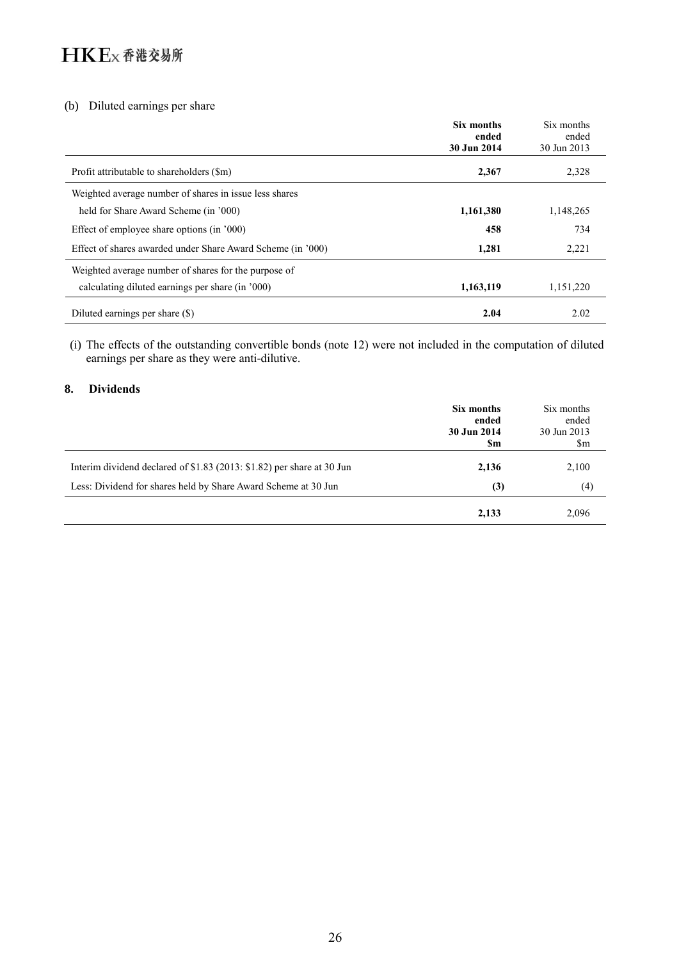#### (b) Diluted earnings per share

|                                                             | Six months<br>ended<br>30 Jun 2014 | Six months<br>ended<br>30 Jun 2013 |
|-------------------------------------------------------------|------------------------------------|------------------------------------|
| Profit attributable to shareholders (\$m)                   | 2,367                              | 2,328                              |
| Weighted average number of shares in issue less shares      |                                    |                                    |
| held for Share Award Scheme (in '000)                       | 1,161,380                          | 1,148,265                          |
| Effect of employee share options (in '000)                  | 458                                | 734                                |
| Effect of shares awarded under Share Award Scheme (in '000) | 1,281                              | 2,221                              |
| Weighted average number of shares for the purpose of        |                                    |                                    |
| calculating diluted earnings per share (in '000)            | 1,163,119                          | 1,151,220                          |
| Diluted earnings per share (\$)                             | 2.04                               | 2.02                               |

(i) The effects of the outstanding convertible bonds (note 12) were not included in the computation of diluted earnings per share as they were anti-dilutive.

#### **8. Dividends**

|                                                                           | Six months<br>ended<br>30 Jun 2014<br>Sm | Six months<br>ended<br>30 Jun 2013<br>\$m |
|---------------------------------------------------------------------------|------------------------------------------|-------------------------------------------|
| Interim dividend declared of $$1.83$ (2013: $$1.82$ ) per share at 30 Jun | 2,136                                    | 2,100                                     |
| Less: Dividend for shares held by Share Award Scheme at 30 Jun            | (3)                                      | (4)                                       |
|                                                                           | 2,133                                    | 2,096                                     |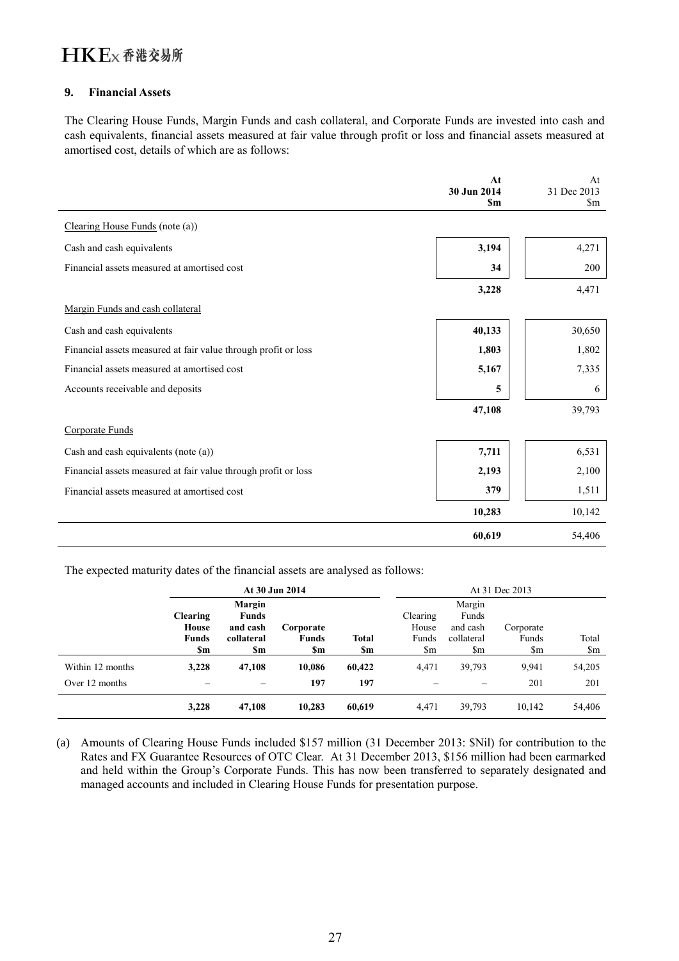#### **9. Financial Assets**

The Clearing House Funds, Margin Funds and cash collateral, and Corporate Funds are invested into cash and cash equivalents, financial assets measured at fair value through profit or loss and financial assets measured at amortised cost, details of which are as follows:

|                                                                | At<br>30 Jun 2014 | At<br>31 Dec 2013      |
|----------------------------------------------------------------|-------------------|------------------------|
|                                                                | <b>Sm</b>         | $\mathop{\mathrm{Sm}}$ |
| Clearing House Funds (note (a))                                |                   |                        |
| Cash and cash equivalents                                      | 3,194             | 4,271                  |
| Financial assets measured at amortised cost                    | 34                | 200                    |
|                                                                | 3,228             | 4,471                  |
| Margin Funds and cash collateral                               |                   |                        |
| Cash and cash equivalents                                      | 40,133            | 30,650                 |
| Financial assets measured at fair value through profit or loss | 1,803             | 1,802                  |
| Financial assets measured at amortised cost                    | 5,167             | 7,335                  |
| Accounts receivable and deposits                               | 5                 | 6                      |
|                                                                | 47,108            | 39,793                 |
| Corporate Funds                                                |                   |                        |
| Cash and cash equivalents (note (a))                           | 7,711             | 6,531                  |
| Financial assets measured at fair value through profit or loss | 2,193             | 2,100                  |
| Financial assets measured at amortised cost                    | 379               | 1,511                  |
|                                                                | 10,283            | 10,142                 |
|                                                                | 60,619            | 54,406                 |

The expected maturity dates of the financial assets are analysed as follows:

|                  |                 |              | At 30 Jun 2014 |              |          |                        | At 31 Dec 2013   |        |
|------------------|-----------------|--------------|----------------|--------------|----------|------------------------|------------------|--------|
|                  |                 | Margin       |                |              |          | Margin                 |                  |        |
|                  | <b>Clearing</b> | <b>Funds</b> |                |              | Clearing | Funds                  |                  |        |
|                  | House           | and cash     | Corporate      |              | House    | and cash               | Corporate        |        |
|                  | <b>Funds</b>    | collateral   | <b>Funds</b>   | <b>Total</b> | Funds    | collateral             | Funds            | Total  |
|                  | \$m             | \$m          | \$m            | \$m          | \$m      | $\mathop{\mathrm{Sm}}$ | $\mathbb{S}_{m}$ | \$m    |
| Within 12 months | 3,228           | 47,108       | 10,086         | 60,422       | 4.471    | 39,793                 | 9.941            | 54,205 |
| Over 12 months   |                 |              | 197            | 197          |          | $\qquad \qquad$        | 201              | 201    |
|                  | 3,228           | 47,108       | 10,283         | 60,619       | 4,471    | 39,793                 | 10,142           | 54,406 |

(a) Amounts of Clearing House Funds included \$157 million (31 December 2013: \$Nil) for contribution to the Rates and FX Guarantee Resources of OTC Clear. At 31 December 2013, \$156 million had been earmarked and held within the Group's Corporate Funds. This has now been transferred to separately designated and managed accounts and included in Clearing House Funds for presentation purpose.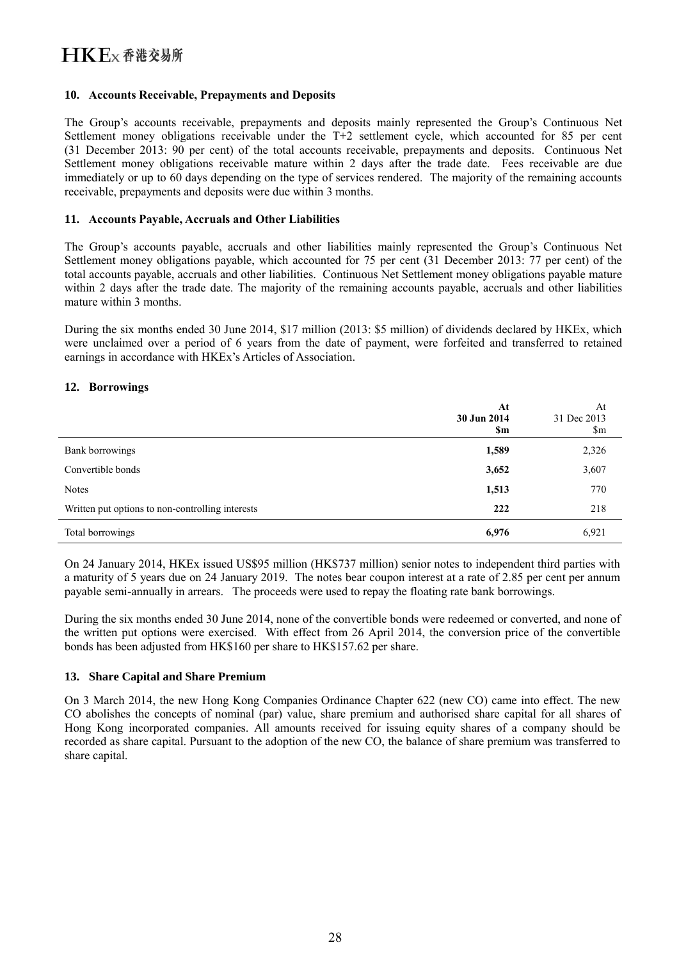#### **10. Accounts Receivable, Prepayments and Deposits**

The Group's accounts receivable, prepayments and deposits mainly represented the Group's Continuous Net Settlement money obligations receivable under the T+2 settlement cycle, which accounted for 85 per cent (31 December 2013: 90 per cent) of the total accounts receivable, prepayments and deposits. Continuous Net Settlement money obligations receivable mature within 2 days after the trade date. Fees receivable are due immediately or up to 60 days depending on the type of services rendered. The majority of the remaining accounts receivable, prepayments and deposits were due within 3 months.

#### **11. Accounts Payable, Accruals and Other Liabilities**

The Group's accounts payable, accruals and other liabilities mainly represented the Group's Continuous Net Settlement money obligations payable, which accounted for 75 per cent (31 December 2013: 77 per cent) of the total accounts payable, accruals and other liabilities. Continuous Net Settlement money obligations payable mature within 2 days after the trade date. The majority of the remaining accounts payable, accruals and other liabilities mature within 3 months.

During the six months ended 30 June 2014, \$17 million (2013: \$5 million) of dividends declared by HKEx, which were unclaimed over a period of 6 years from the date of payment, were forfeited and transferred to retained earnings in accordance with HKEx's Articles of Association.

#### **12. Borrowings**

|                                                  | At<br>30 Jun 2014<br>\$m | At<br>31 Dec 2013<br>\$m |
|--------------------------------------------------|--------------------------|--------------------------|
| Bank borrowings                                  | 1,589                    | 2,326                    |
| Convertible bonds                                | 3,652                    | 3,607                    |
| <b>Notes</b>                                     | 1,513                    | 770                      |
| Written put options to non-controlling interests | 222                      | 218                      |
| Total borrowings                                 | 6,976                    | 6,921                    |

On 24 January 2014, HKEx issued US\$95 million (HK\$737 million) senior notes to independent third parties with a maturity of 5 years due on 24 January 2019. The notes bear coupon interest at a rate of 2.85 per cent per annum payable semi-annually in arrears. The proceeds were used to repay the floating rate bank borrowings.

During the six months ended 30 June 2014, none of the convertible bonds were redeemed or converted, and none of the written put options were exercised. With effect from 26 April 2014, the conversion price of the convertible bonds has been adjusted from HK\$160 per share to HK\$157.62 per share.

#### **13. Share Capital and Share Premium**

On 3 March 2014, the new Hong Kong Companies Ordinance Chapter 622 (new CO) came into effect. The new CO abolishes the concepts of nominal (par) value, share premium and authorised share capital for all shares of Hong Kong incorporated companies. All amounts received for issuing equity shares of a company should be recorded as share capital. Pursuant to the adoption of the new CO, the balance of share premium was transferred to share capital.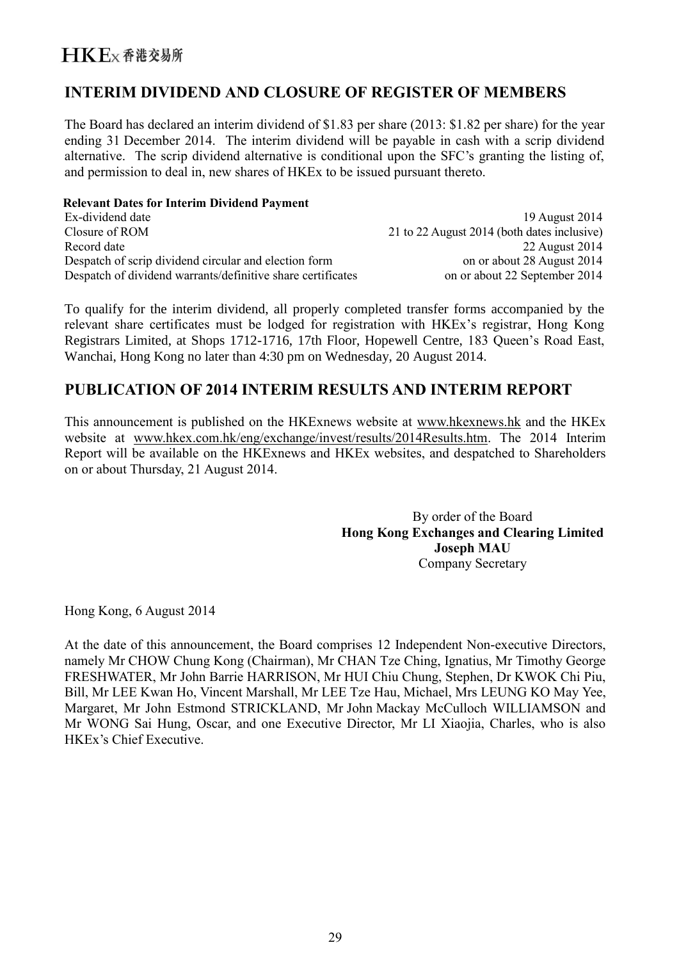### **INTERIM DIVIDEND AND CLOSURE OF REGISTER OF MEMBERS**

The Board has declared an interim dividend of \$1.83 per share (2013: \$1.82 per share) for the year ending 31 December 2014. The interim dividend will be payable in cash with a scrip dividend alternative. The scrip dividend alternative is conditional upon the SFC's granting the listing of, and permission to deal in, new shares of HKEx to be issued pursuant thereto.

#### **Relevant Dates for Interim Dividend Payment**

| Ex-dividend date                                            | 19 August 2014                              |
|-------------------------------------------------------------|---------------------------------------------|
| Closure of ROM                                              | 21 to 22 August 2014 (both dates inclusive) |
| Record date                                                 | 22 August 2014                              |
| Despatch of scrip dividend circular and election form       | on or about 28 August 2014                  |
| Despatch of dividend warrants/definitive share certificates | on or about 22 September 2014               |

To qualify for the interim dividend, all properly completed transfer forms accompanied by the relevant share certificates must be lodged for registration with HKEx's registrar, Hong Kong Registrars Limited, at Shops 1712-1716, 17th Floor, Hopewell Centre, 183 Queen's Road East, Wanchai, Hong Kong no later than 4:30 pm on Wednesday, 20 August 2014.

### **PUBLICATION OF 2014 INTERIM RESULTS AND INTERIM REPORT**

This announcement is published on the HKExnews website at [www.hkexnews.hk](http://www.hkexnews.hk/) and the HKEx website at [www.hkex.com.hk/eng/exchange/invest/results/2014Results.htm.](http://www.hkex.com.hk/eng/exchange/invest/results/2014Results.htm) The 2014 Interim Report will be available on the HKExnews and HKEx websites, and despatched to Shareholders on or about Thursday, 21 August 2014.

> By order of the Board **Hong Kong Exchanges and Clearing Limited Joseph MAU** Company Secretary

Hong Kong, 6 August 2014

At the date of this announcement, the Board comprises 12 Independent Non-executive Directors, namely Mr CHOW Chung Kong (Chairman), Mr CHAN Tze Ching, Ignatius, Mr Timothy George FRESHWATER, Mr John Barrie HARRISON, Mr HUI Chiu Chung, Stephen, Dr KWOK Chi Piu, Bill, Mr LEE Kwan Ho, Vincent Marshall, Mr LEE Tze Hau, Michael, Mrs LEUNG KO May Yee, Margaret, Mr John Estmond STRICKLAND, Mr John Mackay McCulloch WILLIAMSON and Mr WONG Sai Hung, Oscar, and one Executive Director, Mr LI Xiaojia, Charles, who is also HKEx's Chief Executive.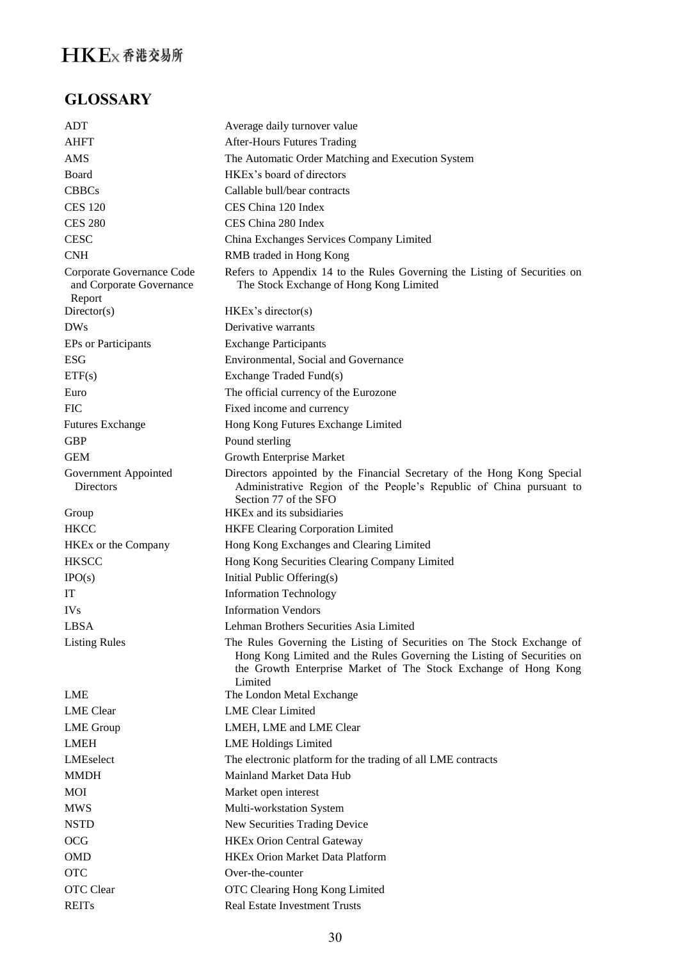## **GLOSSARY**

| ADT                                                             | Average daily turnover value                                                                                                                                                                                        |
|-----------------------------------------------------------------|---------------------------------------------------------------------------------------------------------------------------------------------------------------------------------------------------------------------|
| AHFT                                                            | <b>After-Hours Futures Trading</b>                                                                                                                                                                                  |
| <b>AMS</b>                                                      | The Automatic Order Matching and Execution System                                                                                                                                                                   |
| Board                                                           | HKEx's board of directors                                                                                                                                                                                           |
| <b>CBBCs</b>                                                    | Callable bull/bear contracts                                                                                                                                                                                        |
| <b>CES 120</b>                                                  | CES China 120 Index                                                                                                                                                                                                 |
| <b>CES 280</b>                                                  | CES China 280 Index                                                                                                                                                                                                 |
| <b>CESC</b>                                                     | China Exchanges Services Company Limited                                                                                                                                                                            |
| <b>CNH</b>                                                      | RMB traded in Hong Kong                                                                                                                                                                                             |
| Corporate Governance Code<br>and Corporate Governance<br>Report | Refers to Appendix 14 to the Rules Governing the Listing of Securities on<br>The Stock Exchange of Hong Kong Limited                                                                                                |
| Director(s)                                                     | HKEx's director(s)                                                                                                                                                                                                  |
| DWs                                                             | Derivative warrants                                                                                                                                                                                                 |
| EPs or Participants                                             | <b>Exchange Participants</b>                                                                                                                                                                                        |
| <b>ESG</b>                                                      | Environmental, Social and Governance                                                                                                                                                                                |
| ETF(s)                                                          | Exchange Traded Fund(s)                                                                                                                                                                                             |
| Euro                                                            | The official currency of the Eurozone                                                                                                                                                                               |
| <b>FIC</b>                                                      | Fixed income and currency                                                                                                                                                                                           |
| <b>Futures Exchange</b>                                         | Hong Kong Futures Exchange Limited                                                                                                                                                                                  |
| <b>GBP</b>                                                      | Pound sterling                                                                                                                                                                                                      |
| <b>GEM</b>                                                      | Growth Enterprise Market                                                                                                                                                                                            |
| Government Appointed<br>Directors                               | Directors appointed by the Financial Secretary of the Hong Kong Special<br>Administrative Region of the People's Republic of China pursuant to                                                                      |
| Group                                                           | Section 77 of the SFO<br>HKEx and its subsidiaries                                                                                                                                                                  |
| <b>HKCC</b>                                                     | <b>HKFE Clearing Corporation Limited</b>                                                                                                                                                                            |
| HKEx or the Company                                             | Hong Kong Exchanges and Clearing Limited                                                                                                                                                                            |
| <b>HKSCC</b>                                                    | Hong Kong Securities Clearing Company Limited                                                                                                                                                                       |
| $\text{IPO}(s)$                                                 | Initial Public Offering(s)                                                                                                                                                                                          |
| IT                                                              | <b>Information Technology</b>                                                                                                                                                                                       |
| <b>IVs</b>                                                      | <b>Information Vendors</b>                                                                                                                                                                                          |
| <b>LBSA</b>                                                     | Lehman Brothers Securities Asia Limited                                                                                                                                                                             |
| <b>Listing Rules</b>                                            | The Rules Governing the Listing of Securities on The Stock Exchange of<br>Hong Kong Limited and the Rules Governing the Listing of Securities on<br>the Growth Enterprise Market of The Stock Exchange of Hong Kong |
|                                                                 | Limited                                                                                                                                                                                                             |
| <b>LME</b>                                                      | The London Metal Exchange                                                                                                                                                                                           |
| <b>LME</b> Clear                                                | <b>LME</b> Clear Limited                                                                                                                                                                                            |
| <b>LME</b> Group                                                | LMEH, LME and LME Clear                                                                                                                                                                                             |
| <b>LMEH</b>                                                     | <b>LME Holdings Limited</b>                                                                                                                                                                                         |
| LMEselect                                                       | The electronic platform for the trading of all LME contracts                                                                                                                                                        |
| <b>MMDH</b>                                                     | Mainland Market Data Hub                                                                                                                                                                                            |
| MOI                                                             | Market open interest                                                                                                                                                                                                |
| <b>MWS</b>                                                      | Multi-workstation System                                                                                                                                                                                            |
| <b>NSTD</b>                                                     | New Securities Trading Device                                                                                                                                                                                       |
| OCG                                                             | <b>HKEx Orion Central Gateway</b>                                                                                                                                                                                   |
| <b>OMD</b>                                                      | <b>HKEx Orion Market Data Platform</b>                                                                                                                                                                              |
| <b>OTC</b>                                                      | Over-the-counter                                                                                                                                                                                                    |
| <b>OTC</b> Clear                                                | OTC Clearing Hong Kong Limited                                                                                                                                                                                      |
| <b>REITs</b>                                                    | Real Estate Investment Trusts                                                                                                                                                                                       |